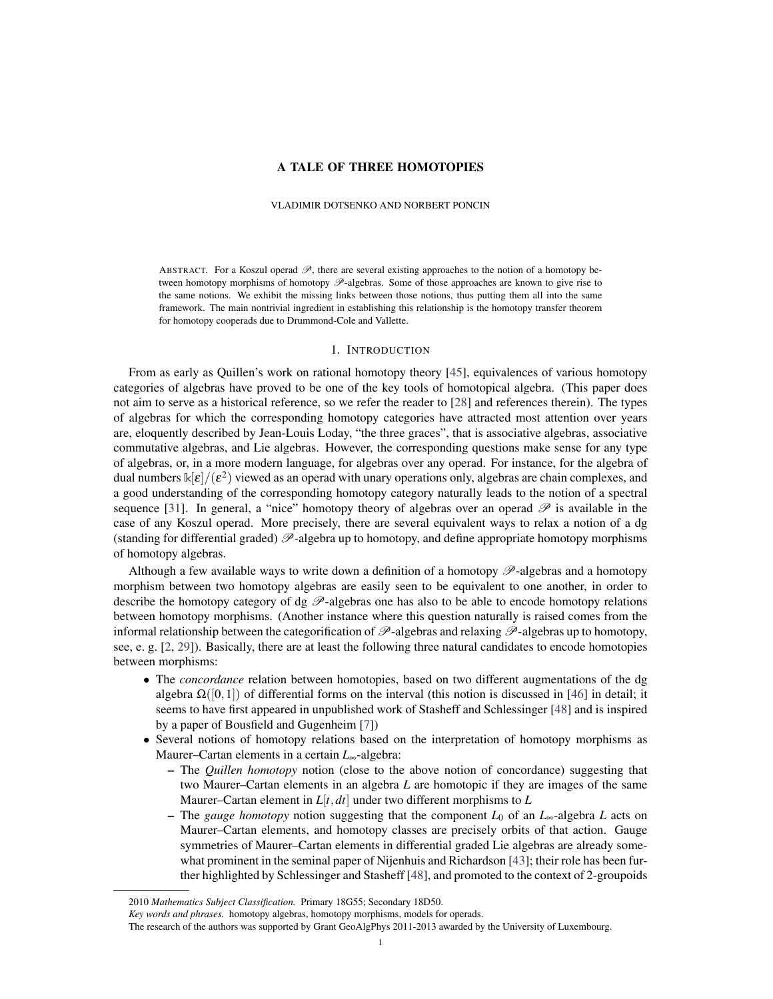# A TALE OF THREE HOMOTOPIES

#### VLADIMIR DOTSENKO AND NORBERT PONCIN

ABSTRACT. For a Koszul operad  $\mathscr{P}$ , there are several existing approaches to the notion of a homotopy between homotopy morphisms of homotopy  $\mathscr{P}$ -algebras. Some of those approaches are known to give rise to the same notions. We exhibit the missing links between those notions, thus putting them all into the same framework. The main nontrivial ingredient in establishing this relationship is the homotopy transfer theorem for homotopy cooperads due to Drummond-Cole and Vallette.

### 1. INTRODUCTION

From as early as Quillen's work on rational homotopy theory [\[45\]](#page-21-0), equivalences of various homotopy categories of algebras have proved to be one of the key tools of homotopical algebra. (This paper does not aim to serve as a historical reference, so we refer the reader to [\[28\]](#page-21-1) and references therein). The types of algebras for which the corresponding homotopy categories have attracted most attention over years are, eloquently described by Jean-Louis Loday, "the three graces", that is associative algebras, associative commutative algebras, and Lie algebras. However, the corresponding questions make sense for any type of algebras, or, in a more modern language, for algebras over any operad. For instance, for the algebra of dual numbers  $\kappa[\varepsilon]/(\varepsilon^2)$  viewed as an operad with unary operations only, algebras are chain complexes, and a good understanding of the corresponding homotopy category naturally leads to the notion of a spectral sequence [\[31\]](#page-21-2). In general, a "nice" homotopy theory of algebras over an operad  $\mathscr P$  is available in the case of any Koszul operad. More precisely, there are several equivalent ways to relax a notion of a dg (standing for differential graded)  $\mathscr{P}$ -algebra up to homotopy, and define appropriate homotopy morphisms of homotopy algebras.

Although a few available ways to write down a definition of a homotopy  $\mathscr{P}$ -algebras and a homotopy morphism between two homotopy algebras are easily seen to be equivalent to one another, in order to describe the homotopy category of dg  $\mathscr{P}$ -algebras one has also to be able to encode homotopy relations between homotopy morphisms. (Another instance where this question naturally is raised comes from the informal relationship between the categorification of  $\mathscr{P}$ -algebras and relaxing  $\mathscr{P}$ -algebras up to homotopy, see, e. g. [\[2,](#page-20-0) [29\]](#page-21-3)). Basically, there are at least the following three natural candidates to encode homotopies between morphisms:

- The *concordance* relation between homotopies, based on two different augmentations of the dg algebra  $\Omega([0,1])$  of differential forms on the interval (this notion is discussed in [\[46\]](#page-21-4) in detail; it seems to have first appeared in unpublished work of Stasheff and Schlessinger [\[48\]](#page-21-5) and is inspired by a paper of Bousfield and Gugenheim [\[7\]](#page-20-1))
- Several notions of homotopy relations based on the interpretation of homotopy morphisms as Maurer–Cartan elements in a certain *L*∞-algebra:
	- The *Quillen homotopy* notion (close to the above notion of concordance) suggesting that two Maurer–Cartan elements in an algebra *L* are homotopic if they are images of the same Maurer–Cartan element in  $L[t, dt]$  under two different morphisms to  $L$
	- The *gauge homotopy* notion suggesting that the component *L*<sup>0</sup> of an *L*∞-algebra *L* acts on Maurer–Cartan elements, and homotopy classes are precisely orbits of that action. Gauge symmetries of Maurer–Cartan elements in differential graded Lie algebras are already somewhat prominent in the seminal paper of Nijenhuis and Richardson [\[43\]](#page-21-6); their role has been further highlighted by Schlessinger and Stasheff [\[48\]](#page-21-5), and promoted to the context of 2-groupoids

<sup>2010</sup> *Mathematics Subject Classification.* Primary 18G55; Secondary 18D50.

*Key words and phrases.* homotopy algebras, homotopy morphisms, models for operads.

The research of the authors was supported by Grant GeoAlgPhys 2011-2013 awarded by the University of Luxembourg.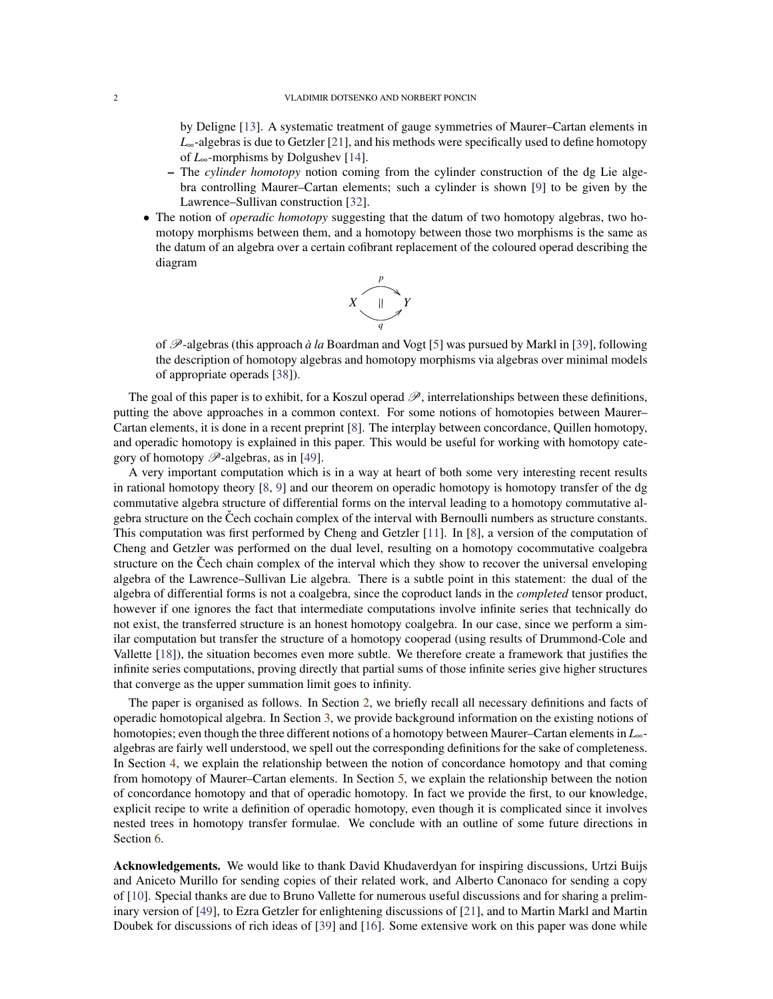by Deligne [\[13\]](#page-20-2). A systematic treatment of gauge symmetries of Maurer–Cartan elements in *L*∞-algebras is due to Getzler [\[21\]](#page-20-3), and his methods were specifically used to define homotopy of *L*∞-morphisms by Dolgushev [\[14\]](#page-20-4).

- The *cylinder homotopy* notion coming from the cylinder construction of the dg Lie algebra controlling Maurer–Cartan elements; such a cylinder is shown [\[9\]](#page-20-5) to be given by the Lawrence–Sullivan construction [\[32\]](#page-21-7).
- The notion of *operadic homotopy* suggesting that the datum of two homotopy algebras, two homotopy morphisms between them, and a homotopy between those two morphisms is the same as the datum of an algebra over a certain cofibrant replacement of the coloured operad describing the diagram



of P-algebras (this approach *a la `* Boardman and Vogt [\[5\]](#page-20-6) was pursued by Markl in [\[39\]](#page-21-8), following the description of homotopy algebras and homotopy morphisms via algebras over minimal models of appropriate operads [\[38\]](#page-21-9)).

The goal of this paper is to exhibit, for a Koszul operad  $\mathscr{P}$ , interrelationships between these definitions, putting the above approaches in a common context. For some notions of homotopies between Maurer– Cartan elements, it is done in a recent preprint [\[8\]](#page-20-7). The interplay between concordance, Quillen homotopy, and operadic homotopy is explained in this paper. This would be useful for working with homotopy category of homotopy  $\mathscr{P}$ -algebras, as in [\[49\]](#page-21-10).

A very important computation which is in a way at heart of both some very interesting recent results in rational homotopy theory [\[8,](#page-20-7) [9\]](#page-20-5) and our theorem on operadic homotopy is homotopy transfer of the dg commutative algebra structure of differential forms on the interval leading to a homotopy commutative algebra structure on the Čech cochain complex of the interval with Bernoulli numbers as structure constants. This computation was first performed by Cheng and Getzler [\[11\]](#page-20-8). In [\[8\]](#page-20-7), a version of the computation of Cheng and Getzler was performed on the dual level, resulting on a homotopy cocommutative coalgebra structure on the Čech chain complex of the interval which they show to recover the universal enveloping algebra of the Lawrence–Sullivan Lie algebra. There is a subtle point in this statement: the dual of the algebra of differential forms is not a coalgebra, since the coproduct lands in the *completed* tensor product, however if one ignores the fact that intermediate computations involve infinite series that technically do not exist, the transferred structure is an honest homotopy coalgebra. In our case, since we perform a similar computation but transfer the structure of a homotopy cooperad (using results of Drummond-Cole and Vallette [\[18\]](#page-20-9)), the situation becomes even more subtle. We therefore create a framework that justifies the infinite series computations, proving directly that partial sums of those infinite series give higher structures that converge as the upper summation limit goes to infinity.

The paper is organised as follows. In Section [2,](#page-2-0) we briefly recall all necessary definitions and facts of operadic homotopical algebra. In Section [3,](#page-8-0) we provide background information on the existing notions of homotopies; even though the three different notions of a homotopy between Maurer–Cartan elements in *L*∞ algebras are fairly well understood, we spell out the corresponding definitions for the sake of completeness. In Section [4,](#page-12-0) we explain the relationship between the notion of concordance homotopy and that coming from homotopy of Maurer–Cartan elements. In Section [5,](#page-14-0) we explain the relationship between the notion of concordance homotopy and that of operadic homotopy. In fact we provide the first, to our knowledge, explicit recipe to write a definition of operadic homotopy, even though it is complicated since it involves nested trees in homotopy transfer formulae. We conclude with an outline of some future directions in Section [6.](#page-20-10)

Acknowledgements. We would like to thank David Khudaverdyan for inspiring discussions, Urtzi Buijs and Aniceto Murillo for sending copies of their related work, and Alberto Canonaco for sending a copy of [\[10\]](#page-20-11). Special thanks are due to Bruno Vallette for numerous useful discussions and for sharing a preliminary version of [\[49\]](#page-21-10), to Ezra Getzler for enlightening discussions of [\[21\]](#page-20-3), and to Martin Markl and Martin Doubek for discussions of rich ideas of [\[39\]](#page-21-8) and [\[16\]](#page-20-12). Some extensive work on this paper was done while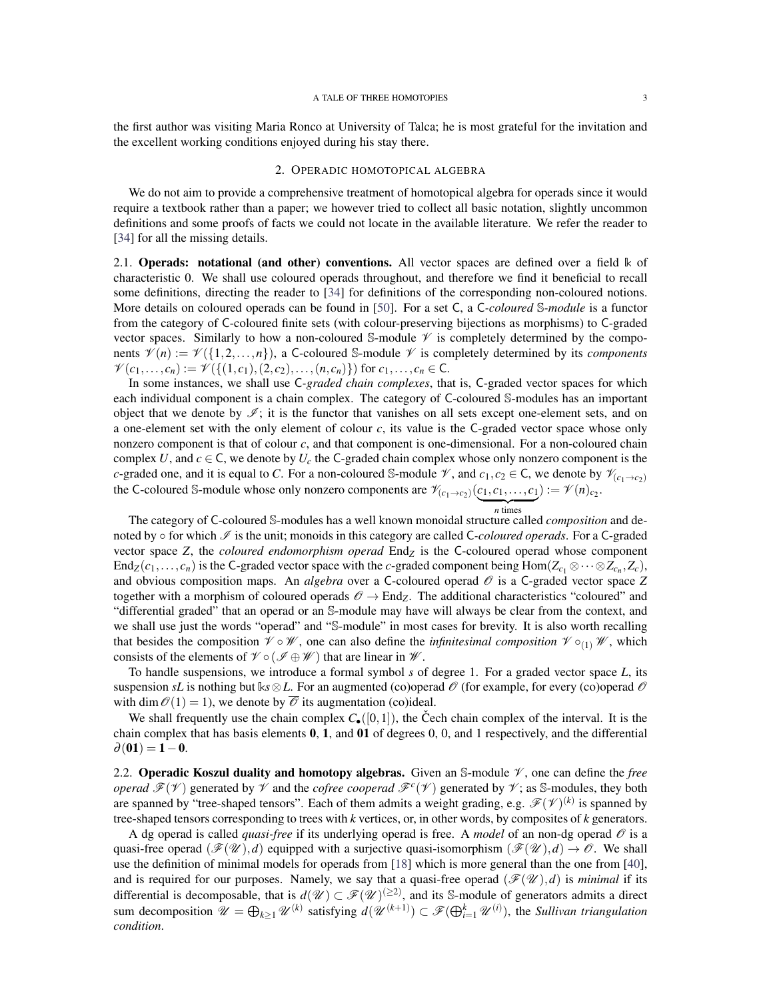the first author was visiting Maria Ronco at University of Talca; he is most grateful for the invitation and the excellent working conditions enjoyed during his stay there.

## 2. OPERADIC HOMOTOPICAL ALGEBRA

<span id="page-2-0"></span>We do not aim to provide a comprehensive treatment of homotopical algebra for operads since it would require a textbook rather than a paper; we however tried to collect all basic notation, slightly uncommon definitions and some proofs of facts we could not locate in the available literature. We refer the reader to [\[34\]](#page-21-11) for all the missing details.

2.1. **Operads: notational (and other) conventions.** All vector spaces are defined over a field  $\Bbbk$  of characteristic 0. We shall use coloured operads throughout, and therefore we find it beneficial to recall some definitions, directing the reader to [\[34\]](#page-21-11) for definitions of the corresponding non-coloured notions. More details on coloured operads can be found in [\[50\]](#page-21-12). For a set C, a C*-coloured* S*-module* is a functor from the category of C-coloured finite sets (with colour-preserving bijections as morphisms) to C-graded vector spaces. Similarly to how a non-coloured S-module  $\mathcal V$  is completely determined by the components  $\mathcal{V}(n) := \mathcal{V}(\{1,2,\ldots,n\})$ , a C-coloured S-module  $\mathcal V$  is completely determined by its *components*  $\mathcal{V}(c_1,...,c_n) := \mathcal{V}(\{(1,c_1), (2,c_2),..., (n,c_n)\})$  for  $c_1,..., c_n \in \mathbb{C}$ .

In some instances, we shall use C*-graded chain complexes*, that is, C-graded vector spaces for which each individual component is a chain complex. The category of C-coloured S-modules has an important object that we denote by  $\mathscr{I}$ ; it is the functor that vanishes on all sets except one-element sets, and on a one-element set with the only element of colour *c*, its value is the C-graded vector space whose only nonzero component is that of colour *c*, and that component is one-dimensional. For a non-coloured chain complex *U*, and  $c \in C$ , we denote by  $U_c$  the C-graded chain complex whose only nonzero component is the *c*-graded one, and it is equal to *C*. For a non-coloured S-module  $\mathcal{V}$ , and  $c_1, c_2 \in C$ , we denote by  $\mathcal{V}_{(c_1 \to c_2)}$ the C-coloured S-module whose only nonzero components are  $\mathcal{V}_{(c_1 \to c_2)}(c_1, c_1, \ldots, c_1) := \mathcal{V}(n)_{c_2}$ .  $\overline{n}$  times

The category of C-coloured S-modules has a well known monoidal structure called *composition* and denoted by  $\circ$  for which  $\mathcal{I}$  is the unit; monoids in this category are called C-*coloured operads*. For a C-graded vector space *Z*, the *coloured endomorphism operad* End*<sup>Z</sup>* is the C-coloured operad whose component End<sub>Z</sub>( $c_1, \ldots, c_n$ ) is the C-graded vector space with the *c*-graded component being  $Hom(Z_{c_1} \otimes \cdots \otimes Z_{c_n}, Z_c)$ , and obvious composition maps. An *algebra* over a C-coloured operad  $\mathcal O$  is a C-graded vector space *Z* together with a morphism of coloured operads  $\mathcal{O} \to$  End<sub>Z</sub>. The additional characteristics "coloured" and "differential graded" that an operad or an S-module may have will always be clear from the context, and we shall use just the words "operad" and "S-module" in most cases for brevity. It is also worth recalling that besides the composition  $\mathcal{V} \circ \mathcal{W}$ , one can also define the *infinitesimal composition*  $\mathcal{V} \circ_{(1)} \mathcal{W}$ , which consists of the elements of  $\mathcal{V} \circ (\mathcal{I} \oplus \mathcal{W})$  that are linear in  $\mathcal{W}$ .

To handle suspensions, we introduce a formal symbol *s* of degree 1. For a graded vector space *L*, its suspension *sL* is nothing but  $ks \otimes L$ . For an augmented (co)operad  $\mathcal O$  (for example, for every (co)operad  $\mathcal O$ with dim  $\mathcal{O}(1) = 1$ , we denote by  $\overline{\mathcal{O}}$  its augmentation (co)ideal.

We shall frequently use the chain complex  $C_{\bullet}([0,1])$ , the Čech chain complex of the interval. It is the chain complex that has basis elements  $0, 1$ , and  $01$  of degrees  $0, 0$ , and 1 respectively, and the differential  $\partial(01) = 1 - 0.$ 

<span id="page-2-1"></span>2.2. **Operadic Koszul duality and homotopy algebras.** Given an S-module  $\mathcal{V}$ , one can define the *free operad*  $\mathcal{F}(V)$  generated by  $V$  and the *cofree cooperad*  $\mathcal{F}^{c}(V)$  generated by  $V$ ; as S-modules, they both are spanned by "tree-shaped tensors". Each of them admits a weight grading, e.g.  $\mathscr{F}(\mathscr{V})^{(k)}$  is spanned by tree-shaped tensors corresponding to trees with *k* vertices, or, in other words, by composites of *k* generators.

A dg operad is called *quasi-free* if its underlying operad is free. A *model* of an non-dg operad  $\mathcal O$  is a quasi-free operad  $(\mathscr{F}(\mathscr{U}),d)$  equipped with a surjective quasi-isomorphism  $(\mathscr{F}(\mathscr{U}),d) \to \mathscr{O}$ . We shall use the definition of minimal models for operads from [\[18\]](#page-20-9) which is more general than the one from [\[40\]](#page-21-13), and is required for our purposes. Namely, we say that a quasi-free operad  $(\mathscr{F}(W),d)$  is *minimal* if its differential is decomposable, that is  $d(\mathcal{U}) \subset \mathcal{F}(\mathcal{U})^{(\geq 2)}$ , and its S-module of generators admits a direct sum decomposition  $\mathcal{U} = \bigoplus_{k \geq 1} \mathcal{U}^{(k)}$  satisfying  $d(\mathcal{U}^{(k+1)}) \subset \mathcal{F}(\bigoplus_{i=1}^k \mathcal{U}^{(i)})$ , the *Sullivan triangulation condition*.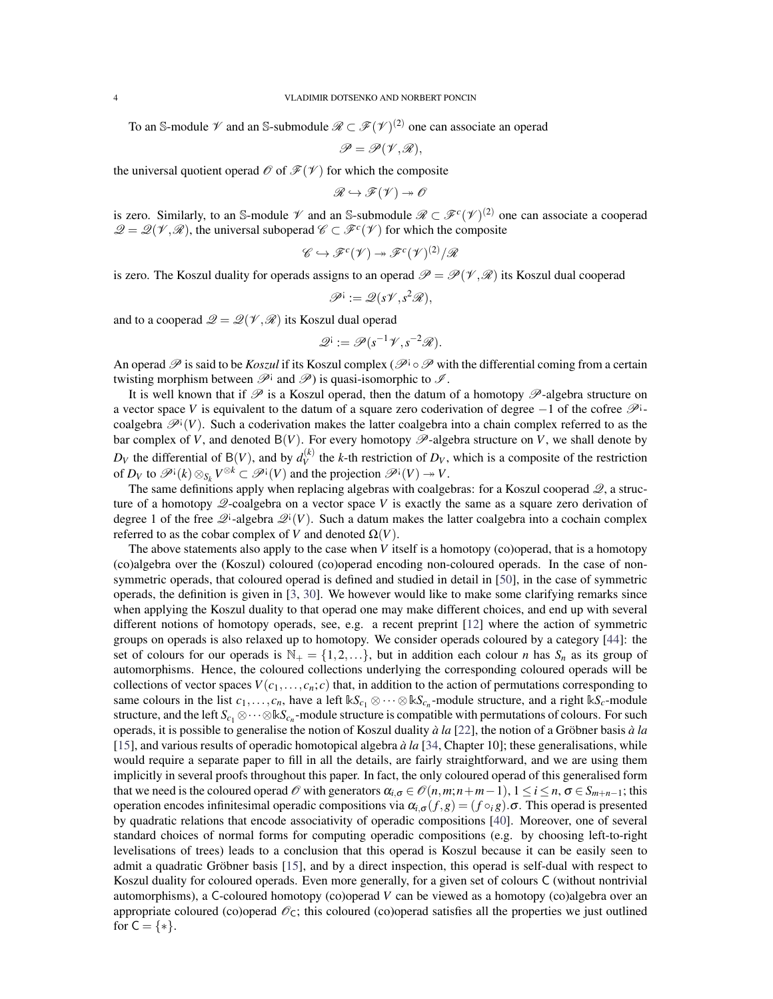To an S-module  $\mathscr V$  and an S-submodule  $\mathscr R \subset \mathscr F(\mathscr V)^{(2)}$  one can associate an operad

$$
\mathscr{P}=\mathscr{P}(\mathscr{V},\mathscr{R}),
$$

the universal quotient operad  $\mathcal O$  of  $\mathcal F(\mathcal V)$  for which the composite

$$
\mathscr{R} \hookrightarrow \mathscr{F}(\mathscr{V}) \twoheadrightarrow \mathscr{O}
$$

is zero. Similarly, to an S-module  $\mathscr V$  and an S-submodule  $\mathscr R \subset \mathscr F^c(\mathscr V)^{(2)}$  one can associate a cooperad  $\mathcal{Q} = \mathcal{Q}(\mathcal{V}, \mathcal{R})$ , the universal suboperad  $\mathcal{C} \subset \mathcal{F}^c(\mathcal{V})$  for which the composite

$$
\mathscr{C} \hookrightarrow \mathscr{F}^c(\mathscr{V}) \twoheadrightarrow \mathscr{F}^c(\mathscr{V})^{(2)}/\mathscr{R}
$$

is zero. The Koszul duality for operads assigns to an operad  $\mathcal{P} = \mathcal{P}(\mathcal{V}, \mathcal{R})$  its Koszul dual cooperad

$$
\mathscr{P}^{\mathsf{i}} := \mathscr{Q} (s\mathscr{V}, s^2\mathscr{R}),
$$

and to a cooperad  $\mathcal{Q} = \mathcal{Q}(\mathcal{V}, \mathcal{R})$  its Koszul dual operad

$$
\mathscr{Q}^{\mathbf{i}} := \mathscr{P}(s^{-1}\mathscr{V}, s^{-2}\mathscr{R}).
$$

An operad P is said to be *Koszul* if its Koszul complex (P<sup>i</sup>  $\circ$  P with the differential coming from a certain twisting morphism between  $\mathscr{P}^{\dagger}$  and  $\mathscr{P}$ ) is quasi-isomorphic to  $\mathscr{I}$ .

It is well known that if  $\mathscr P$  is a Koszul operad, then the datum of a homotopy  $\mathscr P$ -algebra structure on a vector space *V* is equivalent to the datum of a square zero coderivation of degree -1 of the cofree  $\mathscr{P}^{\text{1}}$ coalgebra  $\mathscr{P}^{\text{!`}}(V)$ . Such a coderivation makes the latter coalgebra into a chain complex referred to as the bar complex of *V*, and denoted  $B(V)$ . For every homotopy  $\mathscr{P}$ -algebra structure on *V*, we shall denote by  $D_V$  the differential of B(*V*), and by  $d_V^{(k)}$  $V_V^{(k)}$  the *k*-th restriction of  $D_V$ , which is a composite of the restriction of  $D_V$  to  $\mathscr{P}^{\dagger}(k) \otimes_{S_k} V^{\otimes k} \subset \mathscr{P}^{\dagger}(V)$  and the projection  $\mathscr{P}^{\dagger}(V) \to V$ .

The same definitions apply when replacing algebras with coalgebras: for a Koszul cooperad  $\mathcal{Q}$ , a structure of a homotopy Q-coalgebra on a vector space *V* is exactly the same as a square zero derivation of degree 1 of the free  $\mathcal{Q}^i$ -algebra  $\mathcal{Q}^i(V)$ . Such a datum makes the latter coalgebra into a cochain complex referred to as the cobar complex of *V* and denoted  $\Omega(V)$ .

The above statements also apply to the case when *V* itself is a homotopy (co)operad, that is a homotopy (co)algebra over the (Koszul) coloured (co)operad encoding non-coloured operads. In the case of nonsymmetric operads, that coloured operad is defined and studied in detail in [\[50\]](#page-21-12), in the case of symmetric operads, the definition is given in [\[3,](#page-20-13) [30\]](#page-21-14). We however would like to make some clarifying remarks since when applying the Koszul duality to that operad one may make different choices, and end up with several different notions of homotopy operads, see, e.g. a recent preprint [\[12\]](#page-20-14) where the action of symmetric groups on operads is also relaxed up to homotopy. We consider operads coloured by a category [\[44\]](#page-21-15): the set of colours for our operads is  $\mathbb{N}_+ = \{1, 2, \ldots\}$ , but in addition each colour *n* has  $S_n$  as its group of automorphisms. Hence, the coloured collections underlying the corresponding coloured operads will be collections of vector spaces  $V(c_1, \ldots, c_n; c)$  that, in addition to the action of permutations corresponding to same colours in the list  $c_1, \ldots, c_n$ , have a left  $\Bbbk S_{c_1} \otimes \cdots \otimes \Bbbk S_{c_n}$ -module structure, and a right  $\Bbbk S_c$ -module structure, and the left  $S_{c_1}\otimes\cdots\otimes\Bbbk S_{c_n}$ -module structure is compatible with permutations of colours. For such operads, it is possible to generalise the notion of Koszul duality  $\dot{a}$  *la* [\[22\]](#page-20-15), the notion of a Gröbner basis  $\dot{a}$  *la* [\[15\]](#page-20-16), and various results of operadic homotopical algebra *a la `* [\[34,](#page-21-11) Chapter 10]; these generalisations, while would require a separate paper to fill in all the details, are fairly straightforward, and we are using them implicitly in several proofs throughout this paper. In fact, the only coloured operad of this generalised form that we need is the coloured operad  $\mathcal O$  with generators  $\alpha_{i,\sigma} \in \mathcal O(n,m;n+m-1), 1 \le i \le n, \sigma \in S_{m+n-1}$ ; this operation encodes infinitesimal operadic compositions via  $\alpha_{i,\sigma}(f,g) = (f \circ_i g)$ . This operad is presented by quadratic relations that encode associativity of operadic compositions [\[40\]](#page-21-13). Moreover, one of several standard choices of normal forms for computing operadic compositions (e.g. by choosing left-to-right levelisations of trees) leads to a conclusion that this operad is Koszul because it can be easily seen to admit a quadratic Gröbner basis [[15\]](#page-20-16), and by a direct inspection, this operad is self-dual with respect to Koszul duality for coloured operads. Even more generally, for a given set of colours C (without nontrivial automorphisms), a C-coloured homotopy (co)operad *V* can be viewed as a homotopy (co)algebra over an appropriate coloured (co)operad  $\mathcal{O}_C$ ; this coloured (co)operad satisfies all the properties we just outlined for  $C = \{ * \}.$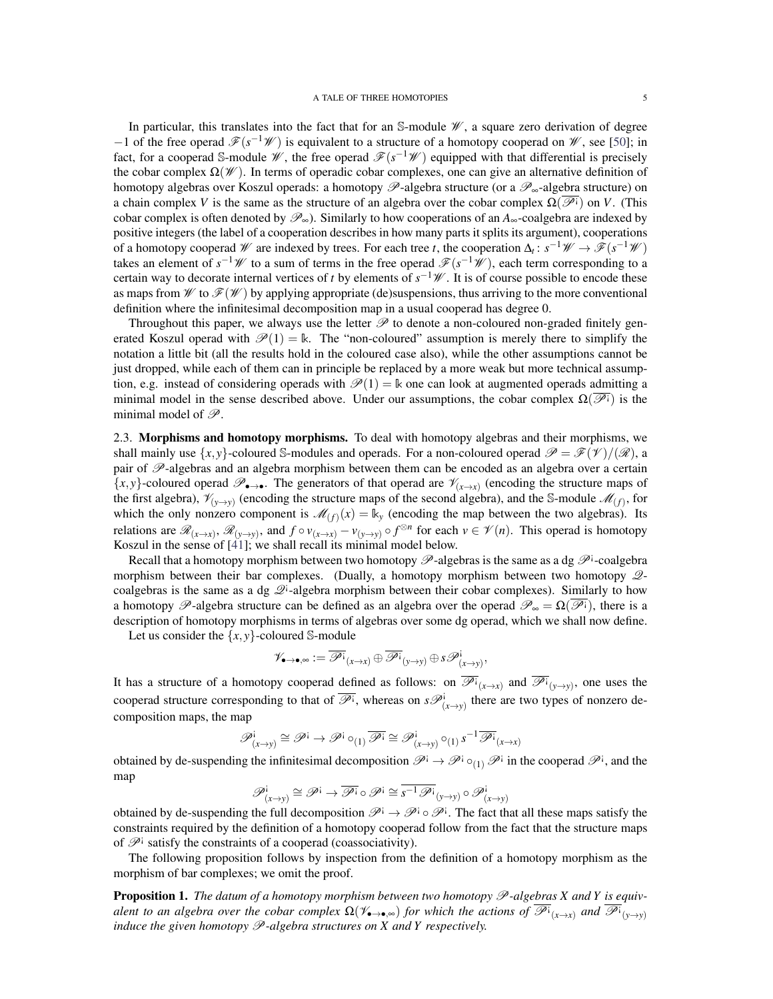In particular, this translates into the fact that for an  $\mathbb{S}\text{-module }\mathscr{W}$ , a square zero derivation of degree −1 of the free operad  $\mathcal{F}(s^{-1}W)$  is equivalent to a structure of a homotopy cooperad on W, see [\[50\]](#page-21-12); in fact, for a cooperad S-module  $\mathscr{W}$ , the free operad  $\mathscr{F}(s^{-1}\mathscr{W})$  equipped with that differential is precisely the cobar complex  $\Omega(\mathcal{W})$ . In terms of operadic cobar complexes, one can give an alternative definition of homotopy algebras over Koszul operads: a homotopy  $\mathscr P$ -algebra structure (or a  $\mathscr P_{\infty}$ -algebra structure) on a chain complex *V* is the same as the structure of an algebra over the cobar complex  $\Omega(\overline{\mathscr{P}})$  on *V*. (This cobar complex is often denoted by  $\mathscr{P}_\infty$ ). Similarly to how cooperations of an  $A_\infty$ -coalgebra are indexed by positive integers (the label of a cooperation describes in how many parts it splits its argument), cooperations of a homotopy cooperad  $W$  are indexed by trees. For each tree *t*, the cooperation  $\Delta_t: s^{-1}W \to \mathscr{F}(s^{-1}W)$ takes an element of  $s^{-1}$  *W* to a sum of terms in the free operad  $\mathscr{F}(s^{-1}$  *W*), each term corresponding to a certain way to decorate internal vertices of *t* by elements of  $s^{-1}$ *W*. It is of course possible to encode these as maps from  $\mathscr{W}$  to  $\mathscr{F}(\mathscr{W})$  by applying appropriate (de)suspensions, thus arriving to the more conventional definition where the infinitesimal decomposition map in a usual cooperad has degree 0.

Throughout this paper, we always use the letter  $\mathscr P$  to denote a non-coloured non-graded finitely generated Koszul operad with  $\mathcal{P}(1) = \mathbb{k}$ . The "non-coloured" assumption is merely there to simplify the notation a little bit (all the results hold in the coloured case also), while the other assumptions cannot be just dropped, while each of them can in principle be replaced by a more weak but more technical assumption, e.g. instead of considering operads with  $\mathcal{P}(1) = \mathbb{k}$  one can look at augmented operads admitting a minimal model in the sense described above. Under our assumptions, the cobar complex  $\Omega(\mathcal{P}^{\dagger})$  is the minimal model of  $\mathscr{P}$ .

<span id="page-4-0"></span>2.3. Morphisms and homotopy morphisms. To deal with homotopy algebras and their morphisms, we shall mainly use  $\{x, y\}$ -coloured S-modules and operads. For a non-coloured operad  $\mathscr{P} = \mathscr{F}(V)/(\mathscr{R})$ , a pair of  $\mathscr P$ -algebras and an algebra morphism between them can be encoded as an algebra over a certain  $\{x, y\}$ -coloured operad  $\mathscr{P}_{\bullet \to \bullet}$ . The generators of that operad are  $\mathscr{V}_{(x \to x)}$  (encoding the structure maps of the first algebra),  $\mathcal{V}_{(y\to y)}$  (encoding the structure maps of the second algebra), and the S-module  $\mathcal{M}_{(f)}$ , for which the only nonzero component is  $\mathcal{M}_{(f)}(x) = \mathbb{k}_y$  (encoding the map between the two algebras). Its relations are  $\mathcal{R}_{(x\to x)}$ ,  $\mathcal{R}_{(y\to y)}$ , and  $f \circ v_{(x\to x)} - v_{(y\to y)} \circ f^{\otimes n}$  for each  $v \in \mathcal{V}(n)$ . This operad is homotopy Koszul in the sense of [\[41\]](#page-21-16); we shall recall its minimal model below.

Recall that a homotopy morphism between two homotopy  $\mathscr P$ -algebras is the same as a dg  $\mathscr P^i$ -coalgebra morphism between their bar complexes. (Dually, a homotopy morphism between two homotopy  $\mathcal{Q}$ coalgebras is the same as a dg  $\mathcal{Q}$ *i*-algebra morphism between their cobar complexes). Similarly to how a homotopy  $\mathscr{P}$ -algebra structure can be defined as an algebra over the operad  $\mathscr{P}_{\infty} = \Omega(\mathscr{P})$ , there is a description of homotopy morphisms in terms of algebras over some dg operad, which we shall now define.

Let us consider the  $\{x, y\}$ -coloured S-module

$$
\mathscr{V}_{\bullet\to\bullet,\infty}:=\overline{\mathscr{P}^{\textrm{!`}}}_{(x\to x)}\oplus\overline{\mathscr{P}^{\textrm{!`}}}_{(y\to y)}\oplus s\mathscr{P}^{\textrm{!`}}_{(x\to y)},
$$

It has a structure of a homotopy cooperad defined as follows: on  $\overline{\mathscr{P}}^i_{(x\to x)}$  and  $\overline{\mathscr{P}}^i_{(y\to y)}$ , one uses the cooperad structure corresponding to that of  $\overline{\mathscr{P}}^i$ , whereas on  $s\mathscr{P}^i_{(x\to y)}$  there are two types of nonzero decomposition maps, the map

$$
\mathscr{P}^i_{(x \to y)} \cong \mathscr{P}^i \to \mathscr{P}^i \circ_{(1)} \overline{\mathscr{P}^i} \cong \mathscr{P}^i_{(x \to y)} \circ_{(1)} s^{-1} \overline{\mathscr{P}^i}_{(x \to x)}
$$

obtained by de-suspending the infinitesimal decomposition  $\mathscr{P}^i \to \mathscr{P}^i \circ_{(1)} \mathscr{P}^i$  in the cooperad  $\mathscr{P}^i$ , and the map

$$
\mathscr{P}^{\mathbf{i}}_{(x \to y)} \cong \mathscr{P}^{\mathbf{i}} \to \overline{\mathscr{P}^{\mathbf{i}}} \circ \mathscr{P}^{\mathbf{i}} \cong \overline{s^{-1} \mathscr{P}^{\mathbf{i}}} _{(y \to y)} \circ \mathscr{P}^{\mathbf{i}}_{(x \to y)}
$$

obtained by de-suspending the full decomposition  $\mathscr{P}^i \to \mathscr{P}^i \circ \mathscr{P}^i$ . The fact that all these maps satisfy the constraints required by the definition of a homotopy cooperad follow from the fact that the structure maps of  $\mathscr{P}^{\dagger}$  satisfy the constraints of a cooperad (coassociativity).

The following proposition follows by inspection from the definition of a homotopy morphism as the morphism of bar complexes; we omit the proof.

**Proposition 1.** The datum of a homotopy morphism between two homotopy  $\mathscr{P}$ -algebras X and Y is equiv*alent to an algebra over the cobar complex*  $\Omega(\mathscr{V}_{\bullet\to\bullet,\infty})$  *for which the actions of*  $\overline{\mathscr{P}^i}_{(x\to x)}$  *and*  $\overline{\mathscr{P}^i}_{(y\to y)}$ *induce the given homotopy*  $\mathscr P$ *-algebra structures on X and Y respectively.*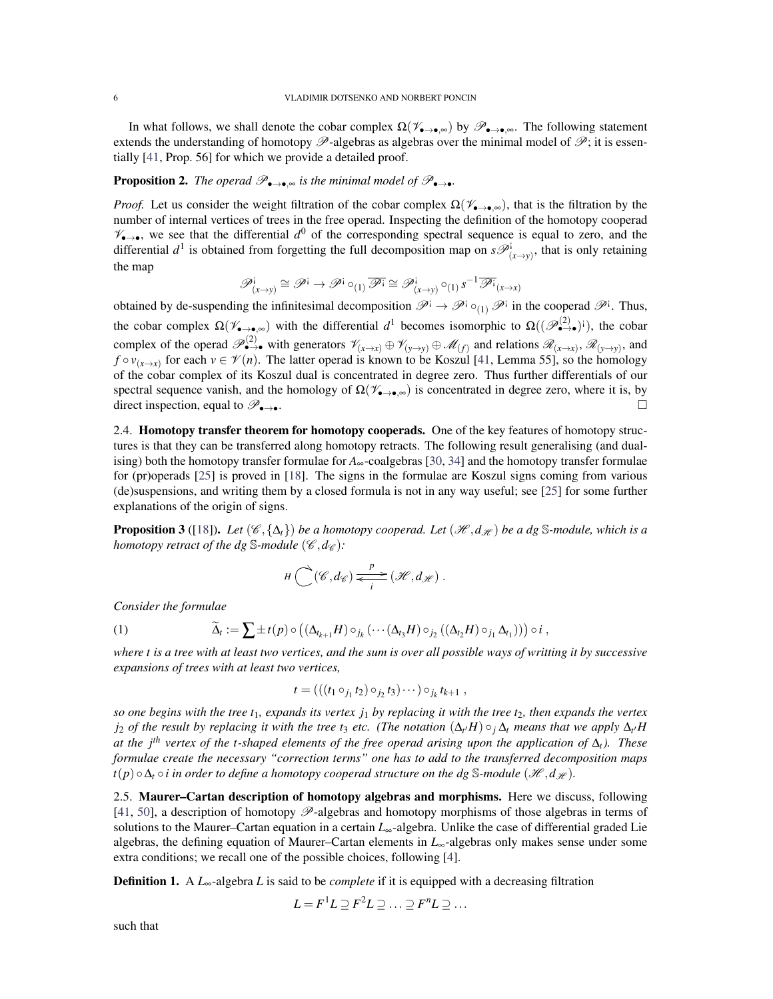In what follows, we shall denote the cobar complex  $\Omega(\mathscr{V}_{\rightarrow\bullet,\infty})$  by  $\mathscr{P}_{\rightarrow\bullet,\infty}$ . The following statement extends the understanding of homotopy  $\mathscr{P}$ -algebras as algebras over the minimal model of  $\mathscr{P}$ ; it is essentially [\[41,](#page-21-16) Prop. 56] for which we provide a detailed proof.

## **Proposition 2.** *The operad*  $\mathscr{P}_{\bullet\to\bullet,\infty}$  *is the minimal model of*  $\mathscr{P}_{\bullet\to\bullet}$ *.*

*Proof.* Let us consider the weight filtration of the cobar complex  $\Omega(\mathscr{V}_{\bullet,\bullet,\infty})$ , that is the filtration by the number of internal vertices of trees in the free operad. Inspecting the definition of the homotopy cooperad  $\mathcal{V}_{\bullet\to\bullet}$ , we see that the differential  $d^0$  of the corresponding spectral sequence is equal to zero, and the differential  $d^1$  is obtained from forgetting the full decomposition map on  $s\mathcal{P}^i_{(x\to y)}$ , that is only retaining the map

$$
\mathscr{P}^{\mathbf{i}}_{(x \to y)} \cong \mathscr{P}^{\mathbf{i}} \to \mathscr{P}^{\mathbf{i}} \circ_{(1)} \overline{\mathscr{P}^{\mathbf{i}}} \cong \mathscr{P}^{\mathbf{i}}_{(x \to y)} \circ_{(1)} s^{-1} \overline{\mathscr{P}^{\mathbf{i}}}_{(x \to x)}
$$

obtained by de-suspending the infinitesimal decomposition  $\mathscr{P}^i \to \mathscr{P}^i \circ_{(1)} \mathscr{P}^i$  in the cooperad  $\mathscr{P}^i$ . Thus, the cobar complex  $\Omega(\mathscr{V}_{\bullet\to\bullet,\infty})$  with the differential  $d^1$  becomes isomorphic to  $\Omega((\mathscr{P}_{\bullet\to\bullet}^{(2)})^i)$ , the cobar complex of the operad  $\mathscr{P}_{\bullet\to\bullet}^{(2)}$  with generators  $\mathscr{V}_{(x\to x)}\oplus\mathscr{V}_{(y\to y)}\oplus\mathscr{M}_{(f)}$  and relations  $\mathscr{R}_{(x\to x)}$ ,  $\mathscr{R}_{(y\to y)}$ , and  $f \circ v_{(x \to x)}$  for each  $v \in \mathcal{V}(n)$ . The latter operad is known to be Koszul [\[41,](#page-21-16) Lemma 55], so the homology of the cobar complex of its Koszul dual is concentrated in degree zero. Thus further differentials of our spectral sequence vanish, and the homology of  $\Omega(\mathscr{V}_{\bullet\to\bullet,\infty})$  is concentrated in degree zero, where it is, by direct inspection, equal to  $\mathscr{P}_{\bullet\to\bullet}$ .

2.4. Homotopy transfer theorem for homotopy cooperads. One of the key features of homotopy structures is that they can be transferred along homotopy retracts. The following result generalising (and dualising) both the homotopy transfer formulae for  $A_{\infty}$ -coalgebras [\[30,](#page-21-14) [34\]](#page-21-11) and the homotopy transfer formulae for (pr)operads [\[25\]](#page-21-17) is proved in [\[18\]](#page-20-9). The signs in the formulae are Koszul signs coming from various (de)suspensions, and writing them by a closed formula is not in any way useful; see [\[25\]](#page-21-17) for some further explanations of the origin of signs.

**Proposition 3** ([\[18\]](#page-20-9)). Let  $(\mathscr{C}, {\Delta_t})$  *be a homotopy cooperad. Let*  $(\mathscr{H}, d_{\mathscr{H}})$  *be a dg* S-module, which is a *homotopy retract of the dg* S-*module* ( $\mathscr{C}, d_{\mathscr{C}}$ )*:* 

<span id="page-5-1"></span>
$$
H\bigodot^{\mathcal{A}}(\mathscr{C},d_{\mathscr{C}})\frac{p}{\leftarrow i}\left(\mathscr{H},d_{\mathscr{H}}\right).
$$

*Consider the formulae*

(1) 
$$
\widetilde{\Delta}_t := \sum \pm t(p) \circ \left( (\Delta_{t_{k+1}} H) \circ_{j_k} (\cdots (\Delta_{t_3} H) \circ_{j_2} ((\Delta_{t_2} H) \circ_{j_1} \Delta_{t_1})) \right) \circ i,
$$

*where t is a tree with at least two vertices, and the sum is over all possible ways of writting it by successive expansions of trees with at least two vertices,*

$$
t = (((t_1 \circ_{j_1} t_2) \circ_{j_2} t_3) \cdots) \circ_{j_k} t_{k+1} ,
$$

*so one begins with the tree t*1*, expands its vertex j*<sup>1</sup> *by replacing it with the tree t*2*, then expands the vertex j*<sub>2</sub> *of the result by replacing it with the tree t<sub>3</sub> <i>etc.* (The notation  $(\Delta_t H) \circ_j \Delta_t$  means that we apply  $\Delta_{t'} H$ *at the jth vertex of the t-shaped elements of the free operad arising upon the application of* ∆*t). These formulae create the necessary "correction terms" one has to add to the transferred decomposition maps*  $t(p) \circ \Delta_t \circ i$  *in order to define a homotopy cooperad structure on the dg* S-*module* (*H*, *d*<sub>H</sub>).

<span id="page-5-0"></span>2.5. Maurer–Cartan description of homotopy algebras and morphisms. Here we discuss, following [\[41,](#page-21-16) [50\]](#page-21-12), a description of homotopy  $\mathscr{P}$ -algebras and homotopy morphisms of those algebras in terms of solutions to the Maurer–Cartan equation in a certain *L*∞-algebra. Unlike the case of differential graded Lie algebras, the defining equation of Maurer–Cartan elements in *L*∞-algebras only makes sense under some extra conditions; we recall one of the possible choices, following [\[4\]](#page-20-17).

Definition 1. A *L*∞-algebra *L* is said to be *complete* if it is equipped with a decreasing filtration

$$
L = F^1 L \supseteq F^2 L \supseteq \ldots \supseteq F^n L \supseteq \ldots
$$

such that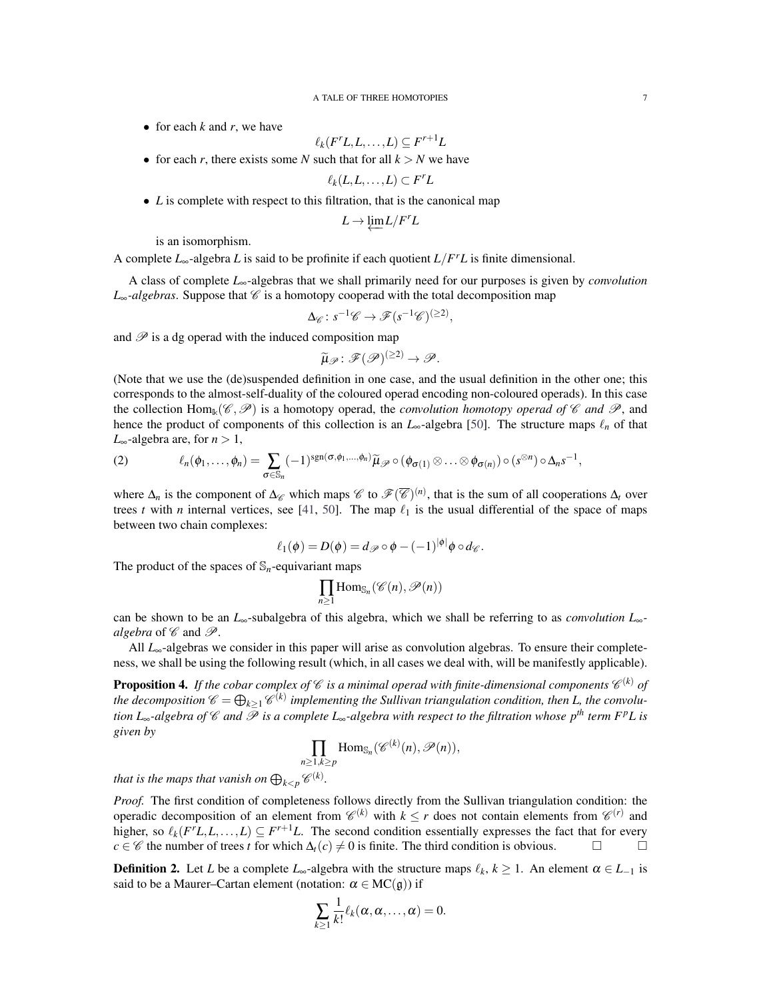• for each *k* and *r*, we have

$$
\ell_k(F^r L, L, \ldots, L) \subseteq F^{r+1} L
$$

• for each *r*, there exists some *N* such that for all  $k > N$  we have

$$
\ell_k(L,L,\ldots,L)\subset F^rL
$$

• *L* is complete with respect to this filtration, that is the canonical map

$$
L \to \underleftarrow{\lim} L/F^r L
$$

is an isomorphism.

A complete *L*∞-algebra *L* is said to be profinite if each quotient *L*/*F <sup>r</sup>L* is finite dimensional.

A class of complete *L*∞-algebras that we shall primarily need for our purposes is given by *convolution*  $L_{\infty}$ -algebras. Suppose that  $\mathscr C$  is a homotopy cooperad with the total decomposition map

$$
\Delta_{\mathscr{C}}: s^{-1}\mathscr{C} \to \mathscr{F}(s^{-1}\mathscr{C})^{(\geq 2)},
$$

and  $P$  is a dg operad with the induced composition map

$$
\widetilde{\mu}_{\mathscr{P}}\colon \mathscr{F}(\mathscr{P})^{(\geq 2)}\to \mathscr{P}.
$$

(Note that we use the (de)suspended definition in one case, and the usual definition in the other one; this corresponds to the almost-self-duality of the coloured operad encoding non-coloured operads). In this case the collection  $\text{Hom}_{\mathbb{k}}(\mathscr{C},\mathscr{P})$  is a homotopy operad, the *convolution homotopy operad of*  $\mathscr{C}$  *and*  $\mathscr{P}$ , and hence the product of components of this collection is an  $L_{\infty}$ -algebra [\[50\]](#page-21-12). The structure maps  $\ell_n$  of that *L*<sub>∞</sub>-algebra are, for *n* > 1,

(2) 
$$
\ell_n(\phi_1,\ldots,\phi_n)=\sum_{\sigma\in\mathbb{S}_n}(-1)^{\operatorname{sgn}(\sigma,\phi_1,\ldots,\phi_n)}\widetilde{\mu}_{\mathscr{P}}\circ(\phi_{\sigma(1)}\otimes\ldots\otimes\phi_{\sigma(n)})\circ(s^{\otimes n})\circ\Delta_n s^{-1},
$$

where  $\Delta_n$  is the component of  $\Delta_{\mathscr{C}}$  which maps  $\mathscr{C}$  to  $\mathscr{F}(\overline{\mathscr{C}})^{(n)}$ , that is the sum of all cooperations  $\Delta_t$  over trees *t* with *n* internal vertices, see [\[41,](#page-21-16) [50\]](#page-21-12). The map  $\ell_1$  is the usual differential of the space of maps between two chain complexes:

$$
\ell_1(\phi) = D(\phi) = d_{\mathscr{P}} \circ \phi - (-1)^{|\phi|} \phi \circ d_{\mathscr{C}}.
$$

The product of the spaces of  $\mathbb{S}_n$ -equivariant maps

$$
\prod_{n\geq 1}\mathrm{Hom}_{\mathbb{S}_n}(\mathscr{C}(n),\mathscr{P}(n))
$$

can be shown to be an *L*∞-subalgebra of this algebra, which we shall be referring to as *convolution L*∞ *algebra* of  $\mathscr C$  and  $\mathscr P$ .

All *L*∞-algebras we consider in this paper will arise as convolution algebras. To ensure their completeness, we shall be using the following result (which, in all cases we deal with, will be manifestly applicable).

**Proposition 4.** If the cobar complex of  $\mathscr C$  is a minimal operad with finite-dimensional components  $\mathscr C^{(k)}$  of the decomposition  $\mathscr{C} = \bigoplus_{k \geq 1} \mathscr{C}^{(k)}$  implementing the Sullivan triangulation condition, then L, the convolu*tion L*∞*-algebra of* C *and* P *is a complete L*∞*-algebra with respect to the filtration whose pth term FpL is given by*

$$
\prod_{n\geq 1, k\geq p} \mathrm{Hom}_{\mathbb{S}_n}(\mathscr{C}^{(k)}(n), \mathscr{P}(n)),
$$

*that is the maps that vanish on*  $\bigoplus_{k\leq p} \mathscr{C}^{(k)}$ *.* 

*Proof.* The first condition of completeness follows directly from the Sullivan triangulation condition: the operadic decomposition of an element from  $\mathcal{C}^{(k)}$  with  $k \leq r$  does not contain elements from  $\mathcal{C}^{(r)}$  and higher, so  $\ell_k(F^rL, L, \ldots, L) \subseteq F^{r+1}L$ . The second condition essentially expresses the fact that for every *c* ∈  $\mathscr C$  the number of trees *t* for which  $\Delta_t(c) \neq 0$  is finite. The third condition is obvious.  $\square$ 

**Definition 2.** Let *L* be a complete  $L_{\infty}$ -algebra with the structure maps  $\ell_k$ ,  $k \geq 1$ . An element  $\alpha \in L_{-1}$  is said to be a Maurer–Cartan element (notation:  $\alpha \in MC(g)$ ) if

$$
\sum_{k\geq 1}\frac{1}{k!}\ell_k(\alpha,\alpha,\ldots,\alpha)=0.
$$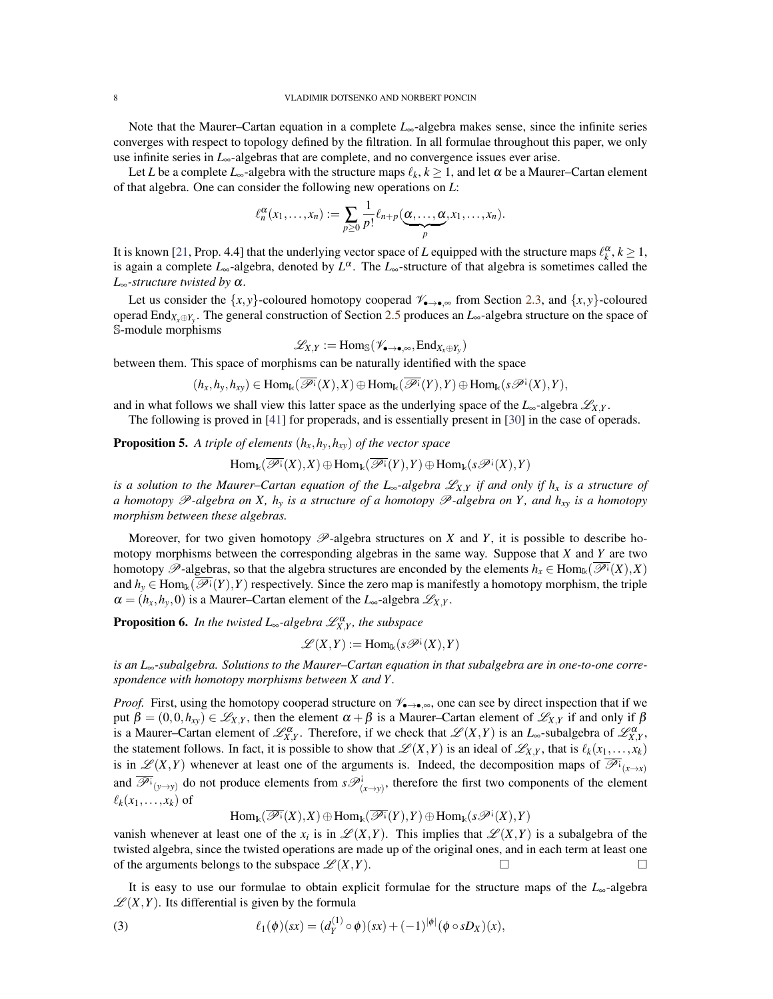Note that the Maurer–Cartan equation in a complete *L*∞-algebra makes sense, since the infinite series converges with respect to topology defined by the filtration. In all formulae throughout this paper, we only use infinite series in *L*∞-algebras that are complete, and no convergence issues ever arise.

Let *L* be a complete  $L_{\infty}$ -algebra with the structure maps  $\ell_k, k \geq 1$ , and let  $\alpha$  be a Maurer–Cartan element of that algebra. One can consider the following new operations on *L*:

$$
\ell_n^{\alpha}(x_1,\ldots,x_n):=\sum_{p\geq 0}\frac{1}{p!}\ell_{n+p}(\underbrace{\alpha,\ldots,\alpha}_{p},x_1,\ldots,x_n).
$$

It is known [\[21,](#page-20-3) Prop. 4.4] that the underlying vector space of *L* equipped with the structure maps  $\ell_k^{\alpha}, k \ge 1$ , is again a complete  $L_{\infty}$ -algebra, denoted by  $L^{\alpha}$ . The  $L_{\infty}$ -structure of that algebra is sometimes called the *L*∞*-structure twisted by* α.

Let us consider the  $\{x, y\}$ -coloured homotopy cooperad  $\mathscr{V}_{\bullet \to \bullet,\infty}$  from Section [2.3,](#page-4-0) and  $\{x, y\}$ -coloured operad End*Xx*⊕*Y<sup>y</sup>* . The general construction of Section [2.5](#page-5-0) produces an *L*∞-algebra structure on the space of S-module morphisms

$$
\mathscr{L}_{X,Y}:=\mathrm{Hom}_{\mathbb{S}}(\mathscr{V}_{\bullet\to\bullet,\infty},\mathrm{End}_{X_x\oplus Y_y})
$$

between them. This space of morphisms can be naturally identified with the space

$$
(h_x,h_y,h_{xy}) \in \mathrm{Hom}_{\Bbbk}(\overline{\mathscr{P}^i}(X),X) \oplus \mathrm{Hom}_{\Bbbk}(\overline{\mathscr{P}^i}(Y),Y) \oplus \mathrm{Hom}_{\Bbbk}(s\mathscr{P}^i(X),Y),
$$

and in what follows we shall view this latter space as the underlying space of the  $L_{\infty}$ -algebra  $\mathcal{L}_{X,Y}$ .

The following is proved in [\[41\]](#page-21-16) for properads, and is essentially present in [\[30\]](#page-21-14) in the case of operads.

**Proposition 5.** A triple of elements  $(h_x, h_y, h_{xy})$  of the vector space

$$
\mathrm{Hom}_{\Bbbk}(\overline{\mathscr{P}^{\textup{!`}}}(X), X) \oplus \mathrm{Hom}_{\Bbbk}(\overline{\mathscr{P}^{\textup{!`}}}(Y), Y) \oplus \mathrm{Hom}_{\Bbbk}(s\mathscr{P}^{\textup{!`}}(X), Y)
$$

*is a solution to the Maurer–Cartan equation of the L*∞*-algebra* L*X*,*<sup>Y</sup> if and only if h<sup>x</sup> is a structure of a homotopy* P*-algebra on X, h<sup>y</sup> is a structure of a homotopy* P*-algebra on Y , and hxy is a homotopy morphism between these algebras.*

Moreover, for two given homotopy  $\mathscr{P}$ -algebra structures on *X* and *Y*, it is possible to describe homotopy morphisms between the corresponding algebras in the same way. Suppose that *X* and *Y* are two homotopy  $\mathscr{P}$ -algebras, so that the algebra structures are enconded by the elements  $h_x \in \text{Hom}_{\mathbb{k}}(\overline{\mathscr{P}^i}(X), X)$ and  $h_y \in \text{Hom}_{\mathbb{k}}(\overline{\mathscr{P}^i}(Y), Y)$  respectively. Since the zero map is manifestly a homotopy morphism, the triple  $\alpha = (h_x, h_y, 0)$  is a Maurer–Cartan element of the  $L_{\infty}$ -algebra  $\mathscr{L}_{X,Y}$ .

**Proposition 6.** In the twisted  $L_{\infty}$ -algebra  $\mathscr{L}^{\alpha}_{X,Y}$ , the subspace

$$
\mathscr{L}(X,Y) := \mathrm{Hom}_{\Bbbk}(s\mathscr{P}^{\mathfrak{i}}(X),Y)
$$

*is an L*∞*-subalgebra. Solutions to the Maurer–Cartan equation in that subalgebra are in one-to-one correspondence with homotopy morphisms between X and Y .*

*Proof.* First, using the homotopy cooperad structure on  $\mathcal{V}_{\bullet\to\bullet,\infty}$ , one can see by direct inspection that if we put  $\beta = (0,0,h_{xy}) \in \mathscr{L}_{X,Y}$ , then the element  $\alpha + \beta$  is a Maurer–Cartan element of  $\mathscr{L}_{X,Y}$  if and only if  $\beta$ is a Maurer–Cartan element of  $\mathscr{L}_{X,Y}^{\alpha}$ . Therefore, if we check that  $\mathscr{L}(X,Y)$  is an  $L_{\infty}$ -subalgebra of  $\mathscr{L}_{X,Y}^{\alpha}$ , the statement follows. In fact, it is possible to show that  $\mathscr{L}(X,Y)$  is an ideal of  $\mathscr{L}_{X,Y}$ , that is  $\ell_k(x_1,\ldots,x_k)$ is in  $\mathscr{L}(X,Y)$  whenever at least one of the arguments is. Indeed, the decomposition maps of  $\overline{\mathscr{P}^i}_{(x\to x)}$ and  $\overline{\mathscr{P}}^i_{(y\to y)}$  do not produce elements from  $s\mathscr{P}^i_{(x\to y)}$ , therefore the first two components of the element  $\ell_k(x_1,\ldots,x_k)$  of

<span id="page-7-0"></span>
$$
\mathrm{Hom}_{\Bbbk}(\overline{\mathscr{P}^{\hskip1pt\mathrm{i}}}(X),X)\oplus\mathrm{Hom}_{\Bbbk}(\overline{\mathscr{P}^{\hskip1pt\mathrm{i}}}(Y),Y)\oplus\mathrm{Hom}_{\Bbbk}(s\mathscr{P}^{\hskip1pt\mathrm{i}}(X),Y)
$$

vanish whenever at least one of the  $x_i$  is in  $\mathscr{L}(X,Y)$ . This implies that  $\mathscr{L}(X,Y)$  is a subalgebra of the twisted algebra, since the twisted operations are made up of the original ones, and in each term at least one of the arguments belongs to the subspace  $\mathscr{L}(X,Y)$ .

It is easy to use our formulae to obtain explicit formulae for the structure maps of the *L*∞-algebra  $\mathscr{L}(X,Y)$ . Its differential is given by the formula

(3) 
$$
\ell_1(\phi)(sx) = (d_Y^{(1)} \circ \phi)(sx) + (-1)^{|\phi|} (\phi \circ sD_X)(x),
$$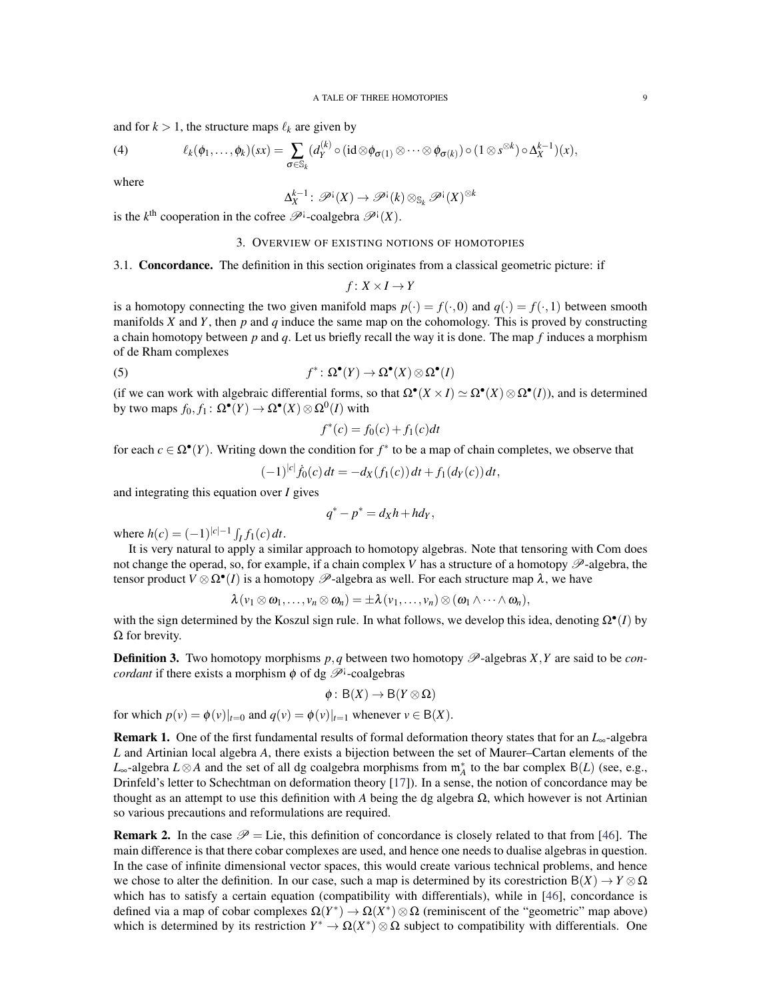and for  $k > 1$ , the structure maps  $\ell_k$  are given by

<span id="page-8-1"></span>(4) 
$$
\ell_k(\phi_1,\ldots,\phi_k)(sx)=\sum_{\sigma\in\mathbb{S}_k}(d_Y^{(k)}\circ(\mathrm{id}\otimes\phi_{\sigma(1)}\otimes\cdots\otimes\phi_{\sigma(k)})\circ(1\otimes s^{\otimes k})\circ\Delta_X^{k-1})(x),
$$

where

$$
\Delta_X^{k-1} \colon \mathscr{P}^{\mathfrak{i}}(X) \to \mathscr{P}^{\mathfrak{i}}(k) \otimes_{\mathbb{S}_k} \mathscr{P}^{\mathfrak{i}}(X)^{\otimes k}
$$

<span id="page-8-0"></span>is the  $k^{\text{th}}$  cooperation in the cofree  $\mathscr{P}^{\text{i}}$ -coalgebra  $\mathscr{P}^{\text{i}}(X)$ .

### 3. OVERVIEW OF EXISTING NOTIONS OF HOMOTOPIES

3.1. Concordance. The definition in this section originates from a classical geometric picture: if

$$
f\colon X\times I\to Y
$$

is a homotopy connecting the two given manifold maps  $p(\cdot) = f(\cdot, 0)$  and  $q(\cdot) = f(\cdot, 1)$  between smooth manifolds *X* and *Y*, then *p* and *q* induce the same map on the cohomology. This is proved by constructing a chain homotopy between *p* and *q*. Let us briefly recall the way it is done. The map *f* induces a morphism of de Rham complexes

(5) 
$$
f^* \colon \Omega^{\bullet}(Y) \to \Omega^{\bullet}(X) \otimes \Omega^{\bullet}(I)
$$

(if we can work with algebraic differential forms, so that  $\Omega^{\bullet}(X \times I) \simeq \Omega^{\bullet}(X) \otimes \Omega^{\bullet}(I)$ ), and is determined by two maps  $f_0, f_1: \Omega^{\bullet}(Y) \to \Omega^{\bullet}(X) \otimes \Omega^0(I)$  with

$$
f^*(c) = f_0(c) + f_1(c)dt
$$

for each  $c \in \Omega^{\bullet}(Y)$ . Writing down the condition for  $f^*$  to be a map of chain completes, we observe that

$$
(-1)^{|c|} \dot{f}_0(c) dt = -d_X(f_1(c)) dt + f_1(d_Y(c)) dt,
$$

and integrating this equation over *I* gives

$$
q^* - p^* = d_X h + h d_Y,
$$

where  $h(c) = (-1)^{|c|-1} \int_I f_1(c) dt$ .

It is very natural to apply a similar approach to homotopy algebras. Note that tensoring with Com does not change the operad, so, for example, if a chain complex  $V$  has a structure of a homotopy  $\mathscr{P}$ -algebra, the tensor product  $V \otimes \Omega^{\bullet}(I)$  is a homotopy  $\mathscr{P}$ -algebra as well. For each structure map  $\lambda$ , we have

$$
\lambda(v_1\otimes\omega_1,\ldots,v_n\otimes\omega_n)=\pm\lambda(v_1,\ldots,v_n)\otimes(\omega_1\wedge\cdots\wedge\omega_n),
$$

with the sign determined by the Koszul sign rule. In what follows, we develop this idea, denoting  $\Omega^{\bullet}(I)$  by  $Ω$  for brevity.

**Definition 3.** Two homotopy morphisms  $p, q$  between two homotopy  $\mathcal{P}$ -algebras  $X, Y$  are said to be *concordant* if there exists a morphism  $\phi$  of dg  $\mathscr{P}^{\dagger}$ -coalgebras

$$
\phi: B(X) \to B(Y \otimes \Omega)
$$

for which  $p(v) = \phi(v)|_{t=0}$  and  $q(v) = \phi(v)|_{t=1}$  whenever  $v \in B(X)$ .

Remark 1. One of the first fundamental results of formal deformation theory states that for an *L*∞-algebra *L* and Artinian local algebra *A*, there exists a bijection between the set of Maurer–Cartan elements of the *L*<sub>∞</sub>-algebra  $L \otimes A$  and the set of all dg coalgebra morphisms from  $\mathfrak{m}_A^*$  to the bar complex B(*L*) (see, e.g., Drinfeld's letter to Schechtman on deformation theory [\[17\]](#page-20-18)). In a sense, the notion of concordance may be thought as an attempt to use this definition with *A* being the dg algebra  $\Omega$ , which however is not Artinian so various precautions and reformulations are required.

**Remark 2.** In the case  $\mathcal{P} =$  Lie, this definition of concordance is closely related to that from [\[46\]](#page-21-4). The main difference is that there cobar complexes are used, and hence one needs to dualise algebras in question. In the case of infinite dimensional vector spaces, this would create various technical problems, and hence we chose to alter the definition. In our case, such a map is determined by its corestriction  $B(X) \to Y \otimes \Omega$ which has to satisfy a certain equation (compatibility with differentials), while in [\[46\]](#page-21-4), concordance is defined via a map of cobar complexes  $\Omega(Y^*) \to \Omega(X^*) \otimes \Omega$  (reminiscent of the "geometric" map above) which is determined by its restriction  $Y^* \to \Omega(X^*) \otimes \Omega$  subject to compatibility with differentials. One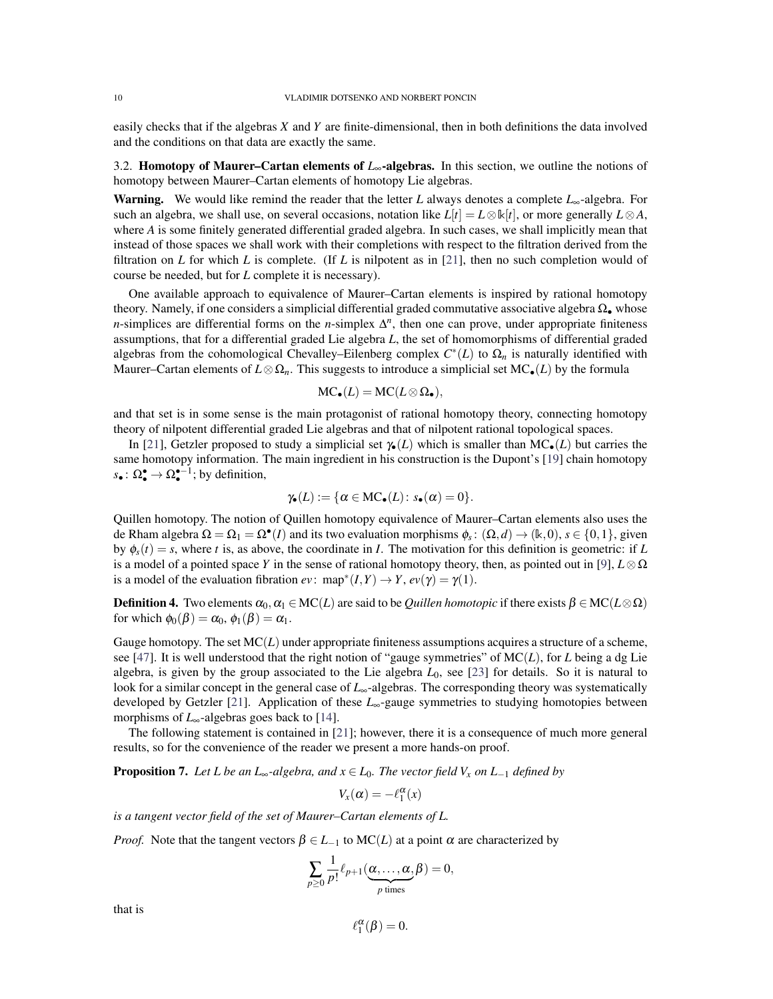easily checks that if the algebras *X* and *Y* are finite-dimensional, then in both definitions the data involved and the conditions on that data are exactly the same.

3.2. Homotopy of Maurer–Cartan elements of *L*∞-algebras. In this section, we outline the notions of homotopy between Maurer–Cartan elements of homotopy Lie algebras.

Warning. We would like remind the reader that the letter *L* always denotes a complete *L*∞-algebra. For such an algebra, we shall use, on several occasions, notation like  $L[t] = L \otimes k[t]$ , or more generally  $L \otimes A$ , where *A* is some finitely generated differential graded algebra. In such cases, we shall implicitly mean that instead of those spaces we shall work with their completions with respect to the filtration derived from the filtration on *L* for which *L* is complete. (If *L* is nilpotent as in [\[21\]](#page-20-3), then no such completion would of course be needed, but for *L* complete it is necessary).

One available approach to equivalence of Maurer–Cartan elements is inspired by rational homotopy theory. Namely, if one considers a simplicial differential graded commutative associative algebra  $\Omega_{\bullet}$  whose *n*-simplices are differential forms on the *n*-simplex  $\Delta^n$ , then one can prove, under appropriate finiteness assumptions, that for a differential graded Lie algebra *L*, the set of homomorphisms of differential graded algebras from the cohomological Chevalley–Eilenberg complex  $C^*(L)$  to  $\Omega_n$  is naturally identified with Maurer–Cartan elements of  $L \otimes \Omega_n$ . This suggests to introduce a simplicial set MC•(*L*) by the formula

$$
\mathrm{MC}_\bullet(L) = \mathrm{MC}(L \otimes \Omega_\bullet),
$$

and that set is in some sense is the main protagonist of rational homotopy theory, connecting homotopy theory of nilpotent differential graded Lie algebras and that of nilpotent rational topological spaces.

In [\[21\]](#page-20-3), Getzler proposed to study a simplicial set  $\gamma_{\bullet}(L)$  which is smaller than MC<sub></sub> $_{\bullet}(L)$  but carries the same homotopy information. The main ingredient in his construction is the Dupont's [\[19\]](#page-20-19) chain homotopy  $s_{\bullet}: \Omega_{\bullet}^{\bullet} \to \Omega_{\bullet}^{\bullet-1}$ ; by definition,

$$
\gamma_{\bullet}(L):=\{\alpha\in\mathrm{MC}_\bullet(L)\colon s_\bullet(\alpha)=0\}.
$$

Quillen homotopy. The notion of Quillen homotopy equivalence of Maurer–Cartan elements also uses the de Rham algebra  $\Omega = \Omega_1 = \Omega^{\bullet}(I)$  and its two evaluation morphisms  $\phi_s : (\Omega, d) \to (\mathbb{k}, 0)$ ,  $s \in \{0, 1\}$ , given by  $\phi_s(t) = s$ , where *t* is, as above, the coordinate in *I*. The motivation for this definition is geometric: if *L* is a model of a pointed space *Y* in the sense of rational homotopy theory, then, as pointed out in [\[9\]](#page-20-5),  $L \otimes \Omega$ is a model of the evaluation fibration  $ev: \text{map}^*(I, Y) \to Y, ev(\gamma) = \gamma(1)$ .

**Definition 4.** Two elements  $\alpha_0, \alpha_1 \in \text{MC}(L)$  are said to be *Quillen homotopic* if there exists  $\beta \in \text{MC}(L \otimes \Omega)$ for which  $\phi_0(\beta) = \alpha_0, \phi_1(\beta) = \alpha_1$ .

Gauge homotopy. The set MC(*L*) under appropriate finiteness assumptions acquires a structure of a scheme, see [\[47\]](#page-21-18). It is well understood that the right notion of "gauge symmetries" of MC(*L*), for *L* being a dg Lie algebra, is given by the group associated to the Lie algebra  $L_0$ , see [\[23\]](#page-21-19) for details. So it is natural to look for a similar concept in the general case of *L*∞-algebras. The corresponding theory was systematically developed by Getzler [\[21\]](#page-20-3). Application of these *L*∞-gauge symmetries to studying homotopies between morphisms of *L*∞-algebras goes back to [\[14\]](#page-20-4).

The following statement is contained in [\[21\]](#page-20-3); however, there it is a consequence of much more general results, so for the convenience of the reader we present a more hands-on proof.

**Proposition 7.** Let L be an L<sub>∞</sub>-algebra, and  $x \in L_0$ . The vector field  $V_x$  on  $L_{-1}$  defined by

$$
V_x(\alpha) = -\ell_1^{\alpha}(x)
$$

*is a tangent vector field of the set of Maurer–Cartan elements of L.*

*Proof.* Note that the tangent vectors  $\beta \in L_{-1}$  to MC(*L*) at a point  $\alpha$  are characterized by

$$
\sum_{p\geq 0} \frac{1}{p!} \ell_{p+1}(\underbrace{\alpha, \ldots, \alpha}_{p \text{ times}}, \beta) = 0,
$$

that is

$$
\ell_1^{\alpha}(\beta)=0.
$$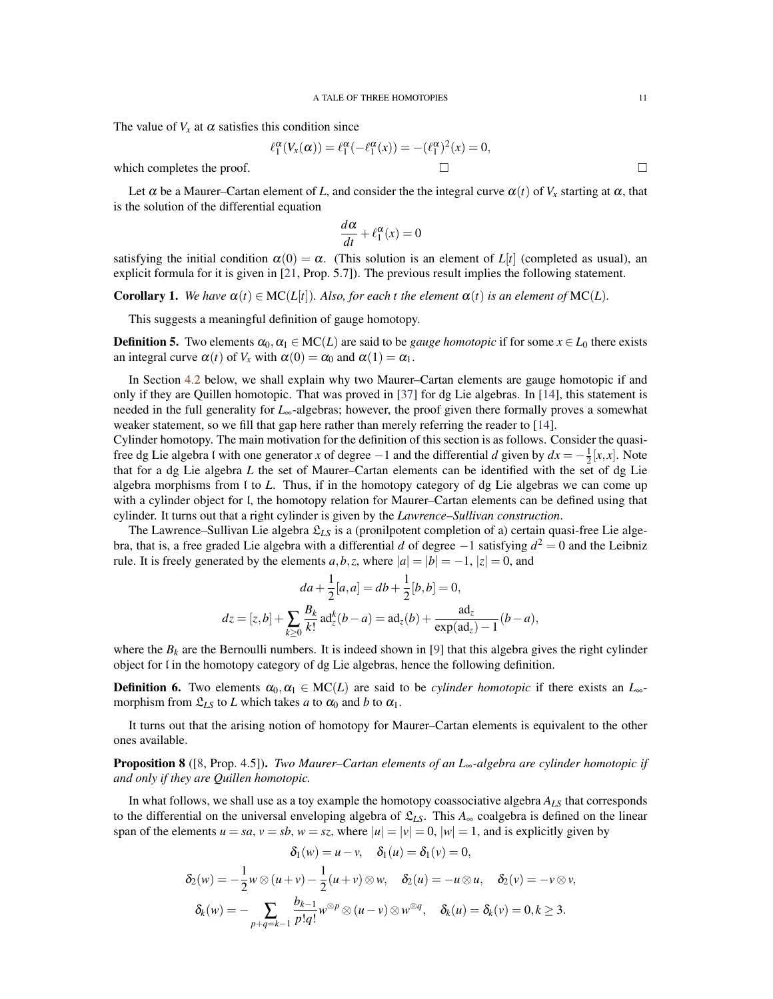The value of  $V_x$  at  $\alpha$  satisfies this condition since

$$
\ell_1^{\alpha}(V_x(\alpha)) = \ell_1^{\alpha}(-\ell_1^{\alpha}(x)) = -(\ell_1^{\alpha})^2(x) = 0,
$$

which completes the proof.  $\Box$ 

Let  $\alpha$  be a Maurer–Cartan element of *L*, and consider the the integral curve  $\alpha(t)$  of  $V_x$  starting at  $\alpha$ , that is the solution of the differential equation

$$
\frac{d\alpha}{dt} + \ell_1^{\alpha}(x) = 0
$$

satisfying the initial condition  $\alpha(0) = \alpha$ . (This solution is an element of  $L[t]$  (completed as usual), an explicit formula for it is given in [\[21,](#page-20-3) Prop. 5.7]). The previous result implies the following statement.

**Corollary 1.** We have  $\alpha(t) \in \text{MC}(L[t])$ . Also, for each t the element  $\alpha(t)$  is an element of  $\text{MC}(L)$ .

This suggests a meaningful definition of gauge homotopy.

**Definition 5.** Two elements  $\alpha_0, \alpha_1 \in \text{MC}(L)$  are said to be *gauge homotopic* if for some  $x \in L_0$  there exists an integral curve  $\alpha(t)$  of  $V_x$  with  $\alpha(0) = \alpha_0$  and  $\alpha(1) = \alpha_1$ .

In Section [4.2](#page-13-0) below, we shall explain why two Maurer–Cartan elements are gauge homotopic if and only if they are Quillen homotopic. That was proved in [\[37\]](#page-21-20) for dg Lie algebras. In [\[14\]](#page-20-4), this statement is needed in the full generality for *L*∞-algebras; however, the proof given there formally proves a somewhat weaker statement, so we fill that gap here rather than merely referring the reader to [\[14\]](#page-20-4).

Cylinder homotopy. The main motivation for the definition of this section is as follows. Consider the quasifree dg Lie algebra l with one generator *x* of degree −1 and the differential *d* given by  $dx = -\frac{1}{2}[x, x]$ . Note that for a dg Lie algebra *L* the set of Maurer–Cartan elements can be identified with the set of dg Lie algebra morphisms from l to *L*. Thus, if in the homotopy category of dg Lie algebras we can come up with a cylinder object for l, the homotopy relation for Maurer–Cartan elements can be defined using that cylinder. It turns out that a right cylinder is given by the *Lawrence–Sullivan construction*.

The Lawrence–Sullivan Lie algebra  $\mathcal{L}_{LS}$  is a (pronilpotent completion of a) certain quasi-free Lie algebra, that is, a free graded Lie algebra with a differential *d* of degree −1 satisfying *d* <sup>2</sup> = 0 and the Leibniz rule. It is freely generated by the elements  $a, b, z$ , where  $|a| = |b| = -1$ ,  $|z| = 0$ , and

$$
da + \frac{1}{2}[a, a] = db + \frac{1}{2}[b, b] = 0,
$$
  

$$
dz = [z, b] + \sum_{k \ge 0} \frac{B_k}{k!} ad_z^k (b - a) = ad_z(b) + \frac{ad_z}{\exp(ad_z) - 1}(b - a),
$$

where the  $B_k$  are the Bernoulli numbers. It is indeed shown in [\[9\]](#page-20-5) that this algebra gives the right cylinder object for l in the homotopy category of dg Lie algebras, hence the following definition.

**Definition 6.** Two elements  $\alpha_0, \alpha_1 \in \text{MC}(L)$  are said to be *cylinder homotopic* if there exists an  $L_{\infty}$ morphism from  $\mathfrak{L}_{LS}$  to *L* which takes *a* to  $\alpha_0$  and *b* to  $\alpha_1$ .

It turns out that the arising notion of homotopy for Maurer–Cartan elements is equivalent to the other ones available.

Proposition 8 ([\[8,](#page-20-7) Prop. 4.5]). *Two Maurer–Cartan elements of an L*∞*-algebra are cylinder homotopic if and only if they are Quillen homotopic.*

In what follows, we shall use as a toy example the homotopy coassociative algebra  $A_{LS}$  that corresponds to the differential on the universal enveloping algebra of  $\mathfrak{L}_{LS}$ . This  $A_{\infty}$  coalgebra is defined on the linear span of the elements  $u = sa$ ,  $v = sb$ ,  $w = sz$ , where  $|u| = |v| = 0$ ,  $|w| = 1$ , and is explicitly given by

$$
\delta_1(w) = u - v, \quad \delta_1(u) = \delta_1(v) = 0,
$$
  

$$
\delta_2(w) = -\frac{1}{2}w \otimes (u + v) - \frac{1}{2}(u + v) \otimes w, \quad \delta_2(u) = -u \otimes u, \quad \delta_2(v) = -v \otimes v,
$$
  

$$
\delta_k(w) = -\sum_{p+q=k-1} \frac{b_{k-1}}{p!q!} w^{\otimes p} \otimes (u - v) \otimes w^{\otimes q}, \quad \delta_k(u) = \delta_k(v) = 0, k \ge 3.
$$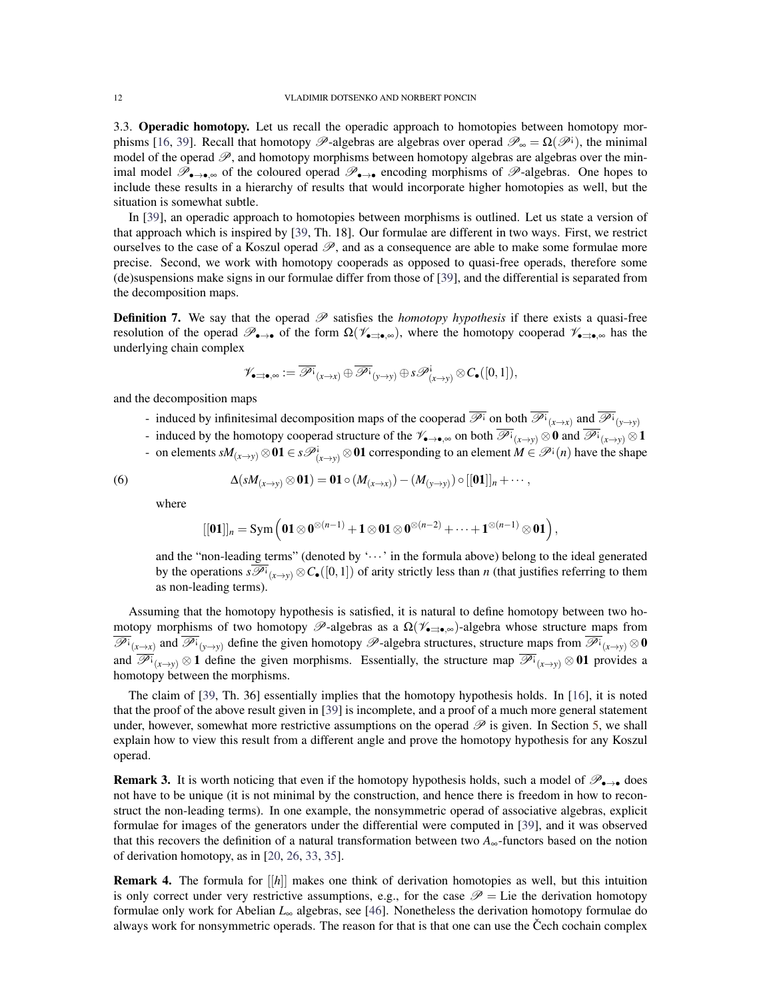3.3. Operadic homotopy. Let us recall the operadic approach to homotopies between homotopy mor-phisms [\[16,](#page-20-12) [39\]](#page-21-8). Recall that homotopy  $\mathscr{P}$ -algebras are algebras over operad  $\mathscr{P}_{\infty} = \Omega(\mathscr{P}^{\perp})$ , the minimal model of the operad  $\mathscr{P}$ , and homotopy morphisms between homotopy algebras are algebras over the minimal model  $\mathscr{P}_{\bullet\to\bullet\infty}$  of the coloured operad  $\mathscr{P}_{\bullet\to\bullet}$  encoding morphisms of  $\mathscr{P}_{\bullet\to\bullet}$  algebras. One hopes to include these results in a hierarchy of results that would incorporate higher homotopies as well, but the situation is somewhat subtle.

In [\[39\]](#page-21-8), an operadic approach to homotopies between morphisms is outlined. Let us state a version of that approach which is inspired by [\[39,](#page-21-8) Th. 18]. Our formulae are different in two ways. First, we restrict ourselves to the case of a Koszul operad  $\mathscr{P}$ , and as a consequence are able to make some formulae more precise. Second, we work with homotopy cooperads as opposed to quasi-free operads, therefore some (de)suspensions make signs in our formulae differ from those of [\[39\]](#page-21-8), and the differential is separated from the decomposition maps.

**Definition 7.** We say that the operad  $\mathscr P$  satisfies the *homotopy hypothesis* if there exists a quasi-free resolution of the operad  $\mathscr{P}_{\bullet\to\bullet}$  of the form  $\Omega(\mathscr{V}_{\bullet\to\bullet,\infty})$ , where the homotopy cooperad  $\mathscr{V}_{\bullet\to\bullet,\infty}$  has the underlying chain complex

$$
\mathscr{V}_{\bullet\preceq\bullet,\infty}:=\overline{\mathscr{P}^{\mathbf{i}}}_{(x\to x)}\oplus\overline{\mathscr{P}^{\mathbf{i}}}_{(y\to y)}\oplus s\mathscr{P}^{\mathbf{i}}_{(x\to y)}\otimes C_\bullet([0,1]),
$$

and the decomposition maps

- induced by infinitesimal decomposition maps of the cooperad  $\overline{\mathscr{P}}$ <sup>i</sup> on both  $\overline{\mathscr{P}}$ <sup>i</sup><sub>(*x*→*x*)</sub> and  $\overline{\mathscr{P}}$ <sup>i</sup><sub>(*y*→*y*)</sub>
- induced by the homotopy cooperad structure of the  $\mathscr{V}_{\bullet\to\bullet,\infty}$  on both  $\overline{\mathscr{P}^i}_{(x\to y)}\otimes 0$  and  $\overline{\mathscr{P}^i}_{(x\to y)}\otimes 1$
- on elements  $sM_{(x\to y)} ⊗ 01 ∈ s\mathscr{P}^i_{(x\to y)} ⊗ 01$  corresponding to an element  $M ∈ \mathscr{P}^i(n)$  have the shape

(6) 
$$
\Delta(sM_{(x\rightarrow y)}\otimes \mathbf{01})=\mathbf{01}\circ (M_{(x\rightarrow x)})-(M_{(y\rightarrow y)})\circ [[\mathbf{01}]]_n+\cdots,
$$

where

<span id="page-11-0"></span>
$$
[[\mathbf{0} \mathbf{1}]]_n = \text{Sym} \left( \mathbf{0} \mathbf{1} \otimes \mathbf{0}^{\otimes (n-1)} + \mathbf{1} \otimes \mathbf{0} \mathbf{1} \otimes \mathbf{0}^{\otimes (n-2)} + \cdots + \mathbf{1}^{\otimes (n-1)} \otimes \mathbf{0} \mathbf{1} \right),
$$

and the "non-leading terms" (denoted by ' $\cdots$  in the formula above) belong to the ideal generated by the operations  $s\overline{\mathscr{P}^i}_{(x\to y)}\otimes C_{\bullet}([0,1])$  of arity strictly less than *n* (that justifies referring to them as non-leading terms).

Assuming that the homotopy hypothesis is satisfied, it is natural to define homotopy between two homotopy morphisms of two homotopy  $\mathscr{P}$ -algebras as a  $\Omega(\mathscr{V}_{\bullet \Rightarrow \bullet,\infty})$ -algebra whose structure maps from  $\overline{\mathscr{P}^i}_{(x\to x)}$  and  $\overline{\mathscr{P}^i}_{(y\to y)}$  define the given homotopy  $\mathscr{P}$ -algebra structures, structure maps from  $\overline{\mathscr{P}^i}_{(x\to y)}\otimes\mathbf{0}$ and  $\overline{\mathscr{P}^i}_{(x\to y)}\otimes 1$  define the given morphisms. Essentially, the structure map  $\overline{\mathscr{P}^i}_{(x\to y)}\otimes 01$  provides a homotopy between the morphisms.

The claim of [\[39,](#page-21-8) Th. 36] essentially implies that the homotopy hypothesis holds. In [\[16\]](#page-20-12), it is noted that the proof of the above result given in [\[39\]](#page-21-8) is incomplete, and a proof of a much more general statement under, however, somewhat more restrictive assumptions on the operad  $\mathscr P$  is given. In Section [5,](#page-14-0) we shall explain how to view this result from a different angle and prove the homotopy hypothesis for any Koszul operad.

**Remark 3.** It is worth noticing that even if the homotopy hypothesis holds, such a model of  $\mathscr{P}_{\bullet\rightarrow\bullet}$  does not have to be unique (it is not minimal by the construction, and hence there is freedom in how to reconstruct the non-leading terms). In one example, the nonsymmetric operad of associative algebras, explicit formulae for images of the generators under the differential were computed in [\[39\]](#page-21-8), and it was observed that this recovers the definition of a natural transformation between two  $A_{\infty}$ -functors based on the notion of derivation homotopy, as in [\[20,](#page-20-20) [26,](#page-21-21) [33,](#page-21-22) [35\]](#page-21-23).

Remark 4. The formula for [[*h*]] makes one think of derivation homotopies as well, but this intuition is only correct under very restrictive assumptions, e.g., for the case  $\mathscr{P} =$  Lie the derivation homotopy formulae only work for Abelian *L*<sup>∞</sup> algebras, see [\[46\]](#page-21-4). Nonetheless the derivation homotopy formulae do always work for nonsymmetric operads. The reason for that is that one can use the Čech cochain complex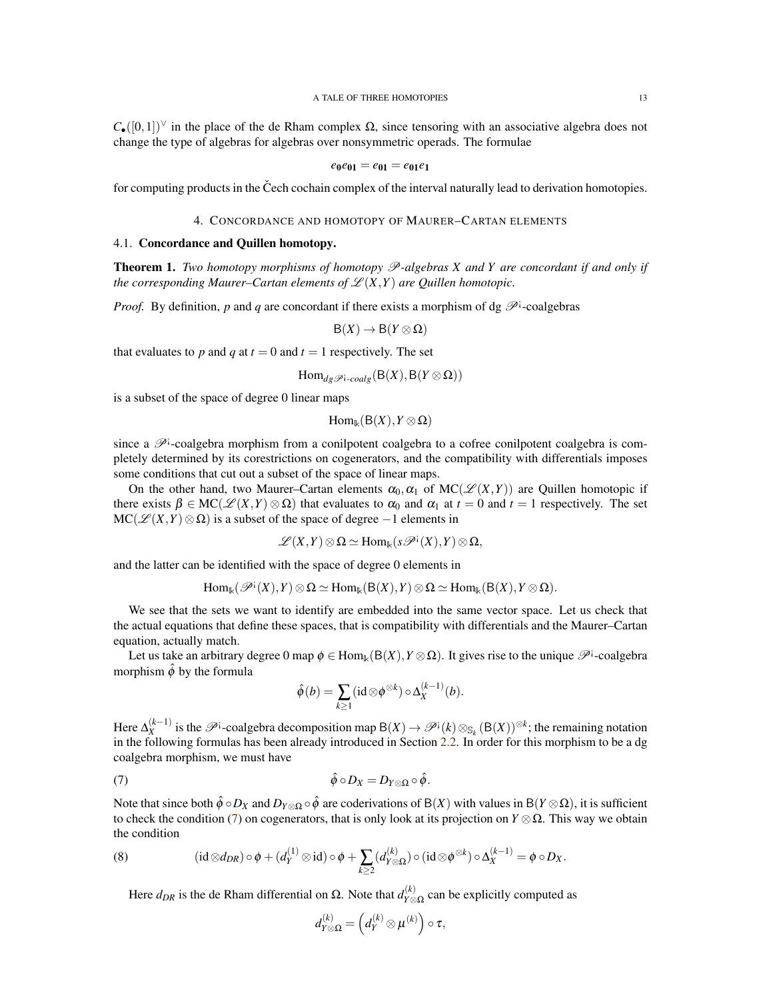$C_{\bullet}([0,1])^{\vee}$  in the place of the de Rham complex  $\Omega$ , since tensoring with an associative algebra does not change the type of algebras for algebras over nonsymmetric operads. The formulae

$$
e_0e_{01}=e_{01}=e_{01}e_1
$$

for computing products in the Čech cochain complex of the interval naturally lead to derivation homotopies.

## 4. CONCORDANCE AND HOMOTOPY OF MAURER–CARTAN ELEMENTS

## <span id="page-12-0"></span>4.1. Concordance and Quillen homotopy.

**Theorem 1.** *Two homotopy morphisms of homotopy*  $\mathcal{P}$ *-algebras X and Y are concordant if and only if the corresponding Maurer–Cartan elements of*  $\mathscr{L}(X,Y)$  *are Quillen homotopic.* 

*Proof.* By definition, p and q are concordant if there exists a morphism of dg  $\mathscr{P}^{\dagger}$ -coalgebras

$$
\mathsf{B}(X)\to\mathsf{B}(Y\otimes\Omega)
$$

that evaluates to p and q at  $t = 0$  and  $t = 1$  respectively. The set

$$
\mathrm{Hom}_{dg\mathscr{P}^{\textrm{!`-}}\mathit{coalg}}(\mathsf{B}(X),\mathsf{B}(Y\otimes\Omega))
$$

is a subset of the space of degree 0 linear maps

$$
\mathrm{Hom}_{\Bbbk}(B(X),Y\otimes\Omega)
$$

since a  $\mathscr{P}^i$ -coalgebra morphism from a conilpotent coalgebra to a cofree conilpotent coalgebra is completely determined by its corestrictions on cogenerators, and the compatibility with differentials imposes some conditions that cut out a subset of the space of linear maps.

On the other hand, two Maurer–Cartan elements  $\alpha_0, \alpha_1$  of  $MC(\mathscr{L}(X,Y))$  are Quillen homotopic if there exists  $\beta \in MC(\mathcal{L}(X, Y) \otimes \Omega)$  that evaluates to  $\alpha_0$  and  $\alpha_1$  at  $t = 0$  and  $t = 1$  respectively. The set  $MC(\mathscr{L}(X,Y)\otimes\Omega)$  is a subset of the space of degree  $-1$  elements in

$$
\mathscr{L}(X,Y)\otimes\Omega\simeq \mathrm{Hom}_{\Bbbk}(s\mathscr{P}^{\mathfrak{i}}(X),Y)\otimes\Omega,
$$

and the latter can be identified with the space of degree 0 elements in

$$
Hom_{\Bbbk}(\mathscr{P}^{\textrm{!`}}(X),Y)\otimes \Omega \simeq Hom_{\Bbbk}(B(X),Y)\otimes \Omega \simeq Hom_{\Bbbk}(B(X),Y\otimes \Omega).
$$

We see that the sets we want to identify are embedded into the same vector space. Let us check that the actual equations that define these spaces, that is compatibility with differentials and the Maurer–Cartan equation, actually match.

Let us take an arbitrary degree 0 map  $\phi \in \text{Hom}_{\mathbb{k}}(B(X), Y \otimes \Omega)$ . It gives rise to the unique  $\mathscr{P}^1$ -coalgebra morphism  $\hat{\phi}$  by the formula

<span id="page-12-1"></span>
$$
\hat{\phi}(b) = \sum_{k \geq 1} (\mathrm{id} \otimes \phi^{\otimes k}) \circ \Delta_X^{(k-1)}(b).
$$

Here ∆ (*k*−1)  $\mathbb{R}_X^{(k-1)}$  is the  $\mathscr{P}^i$ -coalgebra decomposition map B(*X*) →  $\mathscr{P}^i(k) \otimes_{\mathbb{S}_k} (B(X))^{\otimes k}$ ; the remaining notation in the following formulas has been already introduced in Section [2.2.](#page-2-1) In order for this morphism to be a dg coalgebra morphism, we must have

(7) 
$$
\hat{\phi} \circ D_X = D_{Y \otimes \Omega} \circ \hat{\phi}.
$$

Note that since both  $\hat{\phi} \circ D_X$  and  $D_Y \otimes \Omega \circ \hat{\phi}$  are coderivations of B(*X*) with values in B(*Y*  $\otimes \Omega$ ), it is sufficient to check the condition [\(7\)](#page-12-1) on cogenerators, that is only look at its projection on  $Y \otimes \Omega$ . This way we obtain the condition

(8) 
$$
(\mathrm{id}\otimes d_{DR})\circ\phi+(d_Y^{(1)}\otimes\mathrm{id})\circ\phi+\sum_{k\geq 2}(d_{Y\otimes\Omega}^{(k)})\circ(\mathrm{id}\otimes\phi^{\otimes k})\circ\Delta_X^{(k-1)}=\phi\circ D_X.
$$

<span id="page-12-2"></span>Here  $d_{DR}$  is the de Rham differential on  $\Omega$ . Note that  $d_{\gamma \otimes}^{(k)}$  $Y^{\left(\Lambda\right)}_{Y\otimes\Omega}$  can be explicitly computed as

$$
d_{Y\otimes\Omega}^{(k)}=\left(d_Y^{(k)}\otimes \mu^{(k)}\right)\circ\tau,
$$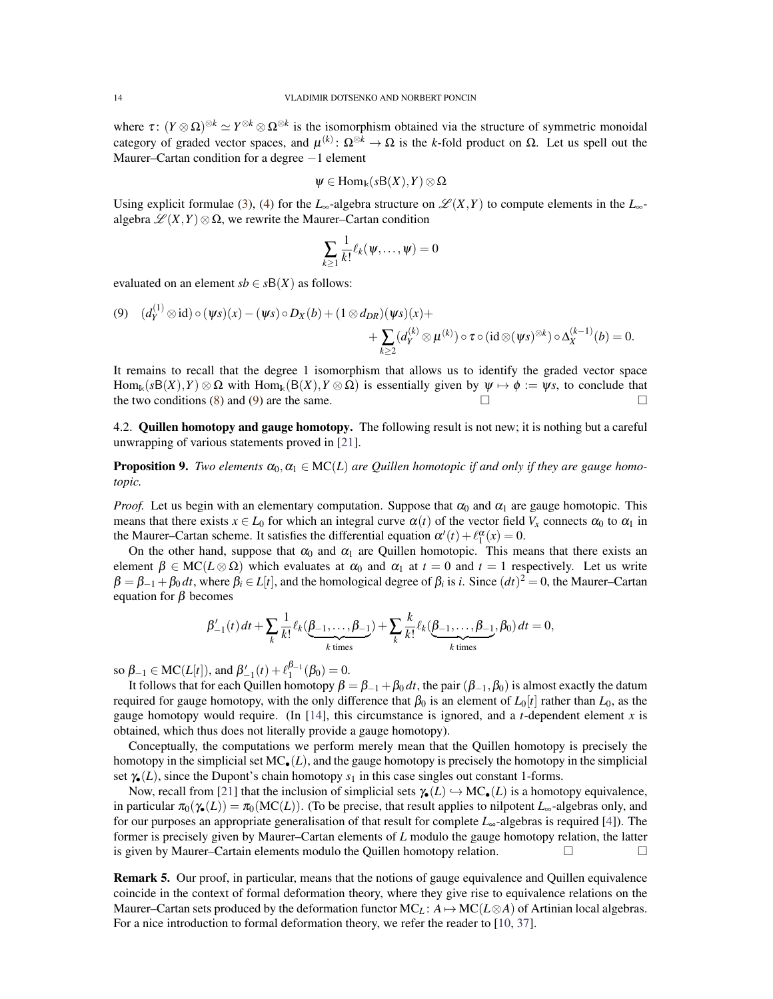where  $\tau: (Y \otimes \Omega)^{\otimes k} \simeq Y^{\otimes k} \otimes \Omega^{\otimes k}$  is the isomorphism obtained via the structure of symmetric monoidal category of graded vector spaces, and  $\mu^{(k)}$ :  $\Omega^{\otimes k} \to \Omega$  is the *k*-fold product on  $\Omega$ . Let us spell out the Maurer–Cartan condition for a degree −1 element

$$
\psi\in \mathrm{Hom}_\Bbbk(s\mathsf{B}(X),Y)\otimes\Omega
$$

Using explicit formulae [\(3\)](#page-7-0), [\(4\)](#page-8-1) for the *L*<sub>∞</sub>-algebra structure on  $\mathscr{L}(X,Y)$  to compute elements in the *L*<sub>∞</sub>algebra  $\mathscr{L}(X,Y) \otimes \Omega$ , we rewrite the Maurer–Cartan condition

$$
\sum_{k\geq 1}\frac{1}{k!}\ell_k(\psi,\ldots,\psi)=0
$$

evaluated on an element  $sb \in sB(X)$  as follows:

 $(1)$ 

<span id="page-13-1"></span>(9) 
$$
(d_Y^{(1)} \otimes id) \circ (\psi s)(x) - (\psi s) \circ D_X(b) + (1 \otimes d_{DR})(\psi s)(x) + + \sum_{k \geq 2} (d_Y^{(k)} \otimes \mu^{(k)}) \circ \tau \circ (id \otimes (\psi s)^{\otimes k}) \circ \Delta_X^{(k-1)}(b) = 0.
$$

It remains to recall that the degree 1 isomorphism that allows us to identify the graded vector space Hom<sub>k</sub>( $sB(X)$ , *Y*) ⊗  $\Omega$  with Hom<sub>k</sub>( $B(X)$ , *Y* ⊗  $\Omega$ ) is essentially given by  $\psi \mapsto \phi := \psi s$ , to conclude that the two conditions [\(8\)](#page-12-2) and [\(9\)](#page-13-1) are the same.  $\Box$ 

<span id="page-13-0"></span>4.2. Quillen homotopy and gauge homotopy. The following result is not new; it is nothing but a careful unwrapping of various statements proved in [\[21\]](#page-20-3).

**Proposition 9.** *Two elements*  $\alpha_0, \alpha_1 \in \text{MC}(L)$  *are Quillen homotopic if and only if they are gauge homotopic.*

*Proof.* Let us begin with an elementary computation. Suppose that  $\alpha_0$  and  $\alpha_1$  are gauge homotopic. This means that there exists  $x \in L_0$  for which an integral curve  $\alpha(t)$  of the vector field  $V_x$  connects  $\alpha_0$  to  $\alpha_1$  in the Maurer–Cartan scheme. It satisfies the differential equation  $\alpha'(t) + \ell_1^{\alpha}(x) = 0$ .

On the other hand, suppose that  $\alpha_0$  and  $\alpha_1$  are Quillen homotopic. This means that there exists an element  $\beta \in \text{MC}(L \otimes \Omega)$  which evaluates at  $\alpha_0$  and  $\alpha_1$  at  $t = 0$  and  $t = 1$  respectively. Let us write  $\beta = \beta_{-1} + \beta_0 dt$ , where  $\beta_i \in L[t]$ , and the homological degree of  $\beta_i$  is *i*. Since  $(dt)^2 = 0$ , the Maurer–Cartan equation for  $β$  becomes

$$
\beta'_{-1}(t) dt + \sum_{k} \frac{1}{k!} \ell_k(\underbrace{\beta_{-1}, \dots, \beta_{-1}}_{k \text{ times}}) + \sum_{k} \frac{k}{k!} \ell_k(\underbrace{\beta_{-1}, \dots, \beta_{-1}}_{k \text{ times}}, \beta_0) dt = 0,
$$

so  $\beta_{-1} \in \text{MC}(L[t])$ , and  $\beta'_{-1}(t) + \ell_1^{\beta_{-1}}(\beta_0) = 0$ .

It follows that for each Quillen homotopy  $\beta = \beta_{-1} + \beta_0 dt$ , the pair  $(\beta_{-1}, \beta_0)$  is almost exactly the datum required for gauge homotopy, with the only difference that  $\beta_0$  is an element of  $L_0[t]$  rather than  $L_0$ , as the gauge homotopy would require. (In  $[14]$ , this circumstance is ignored, and a *t*-dependent element *x* is obtained, which thus does not literally provide a gauge homotopy).

Conceptually, the computations we perform merely mean that the Quillen homotopy is precisely the homotopy in the simplicial set  $MC<sub>•</sub>(L)$ , and the gauge homotopy is precisely the homotopy in the simplicial set  $\gamma_{\bullet}(L)$ , since the Dupont's chain homotopy  $s_1$  in this case singles out constant 1-forms.

Now, recall from [\[21\]](#page-20-3) that the inclusion of simplicial sets  $\gamma_{\bullet}(L) \hookrightarrow MC_{\bullet}(L)$  is a homotopy equivalence, in particular  $\pi_0(\gamma_{\bullet}(L)) = \pi_0(MC(L))$ . (To be precise, that result applies to nilpotent *L*<sub>∞</sub>-algebras only, and for our purposes an appropriate generalisation of that result for complete *L*∞-algebras is required [\[4\]](#page-20-17)). The former is precisely given by Maurer–Cartan elements of *L* modulo the gauge homotopy relation, the latter is given by Maurer–Cartain elements modulo the Quillen homotopy relation.  $\Box$ 

Remark 5. Our proof, in particular, means that the notions of gauge equivalence and Quillen equivalence coincide in the context of formal deformation theory, where they give rise to equivalence relations on the Maurer–Cartan sets produced by the deformation functor  $MC<sub>L</sub>$ :  $A \mapsto MC(L \otimes A)$  of Artinian local algebras. For a nice introduction to formal deformation theory, we refer the reader to [\[10,](#page-20-11) [37\]](#page-21-20).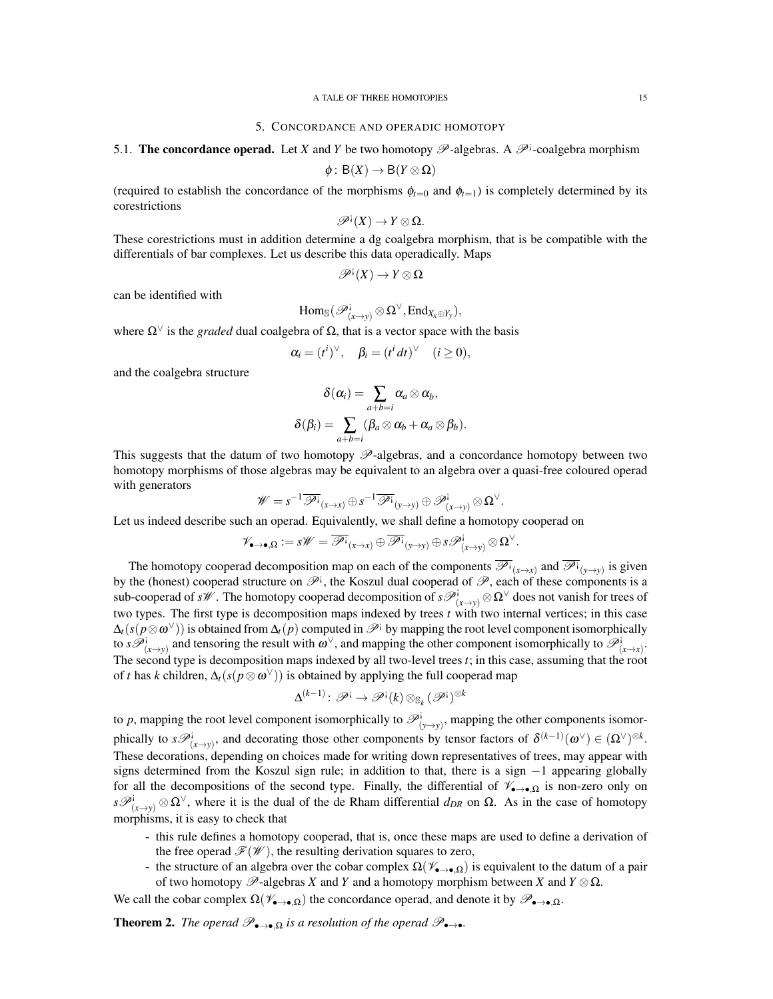#### 5. CONCORDANCE AND OPERADIC HOMOTOPY

<span id="page-14-0"></span>5.1. The concordance operad. Let *X* and *Y* be two homotopy  $\mathscr{P}$ -algebras. A  $\mathscr{P}^{\dagger}$ -coalgebra morphism

$$
\phi: B(X) \to B(Y \otimes \Omega)
$$

(required to establish the concordance of the morphisms  $\phi_{t=0}$  and  $\phi_{t=1}$ ) is completely determined by its corestrictions

$$
\mathscr{P}^{\mathfrak{i}}(X) \to Y \otimes \Omega.
$$

These corestrictions must in addition determine a dg coalgebra morphism, that is be compatible with the differentials of bar complexes. Let us describe this data operadically. Maps

$$
\mathscr{P}^{\mathfrak{i}}(X) \to Y \otimes \Omega
$$

can be identified with

$$
Hom_{\mathbb S}(\mathscr{P}^i_{(x \to y)} \otimes \Omega^\vee, End_{X_x \oplus Y_y}),
$$

where  $\Omega^{\vee}$  is the *graded* dual coalgebra of  $\Omega$ , that is a vector space with the basis

$$
\alpha_i = (t^i)^\vee, \quad \beta_i = (t^i dt)^\vee \quad (i \ge 0),
$$

and the coalgebra structure

$$
\delta(\alpha_i) = \sum_{a+b=i} \alpha_a \otimes \alpha_b, \\ \delta(\beta_i) = \sum_{a+b=i} (\beta_a \otimes \alpha_b + \alpha_a \otimes \beta_b).
$$

This suggests that the datum of two homotopy  $\mathscr{P}$ -algebras, and a concordance homotopy between two homotopy morphisms of those algebras may be equivalent to an algebra over a quasi-free coloured operad with generators

$$
\mathscr{W}=s^{-1}\overline{\mathscr{P}^{\textrm{!`}}}_{(x\to x)}\oplus s^{-1}\overline{\mathscr{P}^{\textrm{!`}}}_{(y\to y)}\oplus \mathscr{P}^{\textrm{!`}}_{(x\to y)}\otimes \Omega^\vee.
$$

Let us indeed describe such an operad. Equivalently, we shall define a homotopy cooperad on

$$
\mathscr{V}_{\bullet\to\bullet,\Omega}:=s\mathscr{W}=\overline{\mathscr{P}^{\textrm{!`}}}_{(x\to x)}\oplus\overline{\mathscr{P}^{\textrm{!`}}}_{(y\to y)}\oplus s\mathscr{P}^{\textrm{!`}}_{(x\to y)}\otimes\Omega^\vee.
$$

The homotopy cooperad decomposition map on each of the components  $\overline{\mathscr{P}^i}_{(x\to x)}$  and  $\overline{\mathscr{P}^i}_{(y\to y)}$  is given by the (honest) cooperad structure on  $\mathscr{P}^i$ , the Koszul dual cooperad of  $\mathscr{P}$ , each of these components is a sub-cooperad of *sW*. The homotopy cooperad decomposition of  $s\mathscr{P}^i_{(x\to y)}\otimes \Omega^\vee$  does not vanish for trees of two types. The first type is decomposition maps indexed by trees *t* with two internal vertices; in this case  $\Delta_t(s(p\otimes\omega^\vee))$  is obtained from  $\Delta_t(p)$  computed in  $\mathscr P^{\textup{!`}}$  by mapping the root level component isomorphically to  $s\mathcal{P}^i_{(x\to y)}$  and tensoring the result with  $\omega^\vee$ , and mapping the other component isomorphically to  $\mathcal{P}^i_{(x\to x)}$ . The second type is decomposition maps indexed by all two-level trees *t*; in this case, assuming that the root of *t* has *k* children, ∆*t*(*s*(*p*⊗ω <sup>∨</sup>)) is obtained by applying the full cooperad map

$$
\Delta^{(k-1)}\colon \mathscr{P}^{\text{!`}} \to \mathscr{P}^{\text{!`}}(k) \otimes_{\mathbb{S}_k} (\mathscr{P}^{\text{!`}})^{\otimes k}
$$

to *p*, mapping the root level component isomorphically to  $\mathcal{P}^i_{(y\to y)}$ , mapping the other components isomorphically to  $s\mathscr{P}^i_{(x\to y)}$ , and decorating those other components by tensor factors of  $\delta^{(k-1)}(\omega^{\vee}) \in (\Omega^{\vee})^{\otimes k}$ . These decorations, depending on choices made for writing down representatives of trees, may appear with signs determined from the Koszul sign rule; in addition to that, there is a sign −1 appearing globally for all the decompositions of the second type. Finally, the differential of  $\mathscr{V}_{\bullet\to\bullet,\Omega}$  is non-zero only on  $s\mathscr{P}^i_{(x\to y)}\otimes \Omega^\vee$ , where it is the dual of the de Rham differential  $d_{DR}$  on  $\Omega$ . As in the case of homotopy morphisms, it is easy to check that

- this rule defines a homotopy cooperad, that is, once these maps are used to define a derivation of the free operad  $\mathcal{F}(\mathcal{W})$ , the resulting derivation squares to zero,
- the structure of an algebra over the cobar complex  $\Omega(\mathscr{V}_{\bullet\to\bullet,\Omega})$  is equivalent to the datum of a pair of two homotopy  $\mathscr{P}$ -algebras *X* and *Y* and a homotopy morphism between *X* and *Y*  $\otimes \Omega$ .

We call the cobar complex  $\Omega(\mathscr{V}_{\bullet\to\bullet,\Omega})$  the concordance operad, and denote it by  $\mathscr{P}_{\bullet\to\bullet,\Omega}$ .

<span id="page-14-1"></span>**Theorem 2.** *The operad*  $\mathscr{P}_{\bullet\to\bullet,\Omega}$  *is a resolution of the operad*  $\mathscr{P}_{\bullet\to\bullet}$ *.*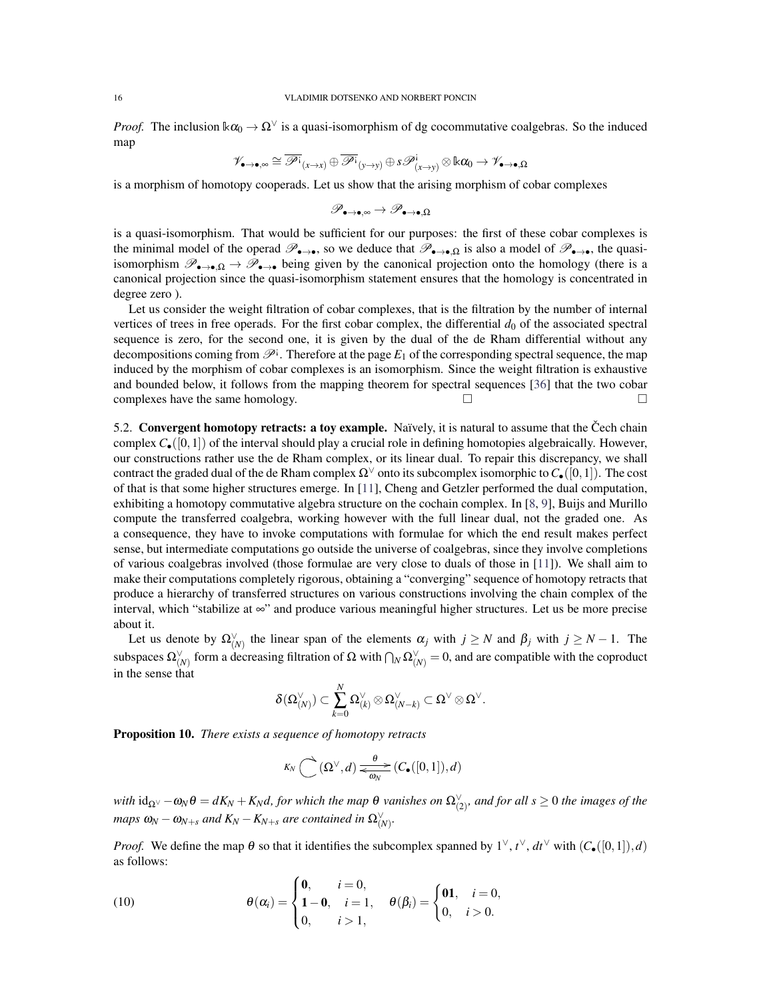*Proof.* The inclusion  $k\alpha_0 \to \Omega^{\vee}$  is a quasi-isomorphism of dg cocommutative coalgebras. So the induced map

$$
\mathscr{V}_{\bullet\to\bullet,\infty}\cong\overline{\mathscr{P}^{\textrm{!`}}}_{(x\to x)}\oplus\overline{\mathscr{P}^{\textrm{!`}}}_{(y\to y)}\oplus s\mathscr{P}^{\textrm{!`}}_{(x\to y)}\otimes\Bbbk\alpha_0\to\mathscr{V}_{\bullet\to\bullet,\Omega}
$$

is a morphism of homotopy cooperads. Let us show that the arising morphism of cobar complexes

$$
\mathscr{P}_{\bullet\to\bullet,\infty}\to\mathscr{P}_{\bullet\to\bullet,\Omega}
$$

is a quasi-isomorphism. That would be sufficient for our purposes: the first of these cobar complexes is the minimal model of the operad  $\mathscr{P}_{\bullet\to\bullet}$ , so we deduce that  $\mathscr{P}_{\bullet\to\bullet}$  is also a model of  $\mathscr{P}_{\bullet\to\bullet}$ , the quasiisomorphism  $\mathscr{P}_{\bullet\to\bullet,\Omega}$   $\to \mathscr{P}_{\bullet\to\bullet}$  being given by the canonical projection onto the homology (there is a canonical projection since the quasi-isomorphism statement ensures that the homology is concentrated in degree zero ).

Let us consider the weight filtration of cobar complexes, that is the filtration by the number of internal vertices of trees in free operads. For the first cobar complex, the differential  $d_0$  of the associated spectral sequence is zero, for the second one, it is given by the dual of the de Rham differential without any decompositions coming from  $\mathscr{P}^i$ . Therefore at the page  $E_1$  of the corresponding spectral sequence, the map induced by the morphism of cobar complexes is an isomorphism. Since the weight filtration is exhaustive and bounded below, it follows from the mapping theorem for spectral sequences [\[36\]](#page-21-24) that the two cobar complexes have the same homology.  $\Box$ 

5.2. Convergent homotopy retracts: a toy example. Naïvely, it is natural to assume that the Čech chain complex  $C_{\bullet}([0,1])$  of the interval should play a crucial role in defining homotopies algebraically. However, our constructions rather use the de Rham complex, or its linear dual. To repair this discrepancy, we shall contract the graded dual of the de Rham complex  $\Omega^{\vee}$  onto its subcomplex isomorphic to  $C_{\bullet}([0,1])$ . The cost of that is that some higher structures emerge. In [\[11\]](#page-20-8), Cheng and Getzler performed the dual computation, exhibiting a homotopy commutative algebra structure on the cochain complex. In [\[8,](#page-20-7) [9\]](#page-20-5), Buijs and Murillo compute the transferred coalgebra, working however with the full linear dual, not the graded one. As a consequence, they have to invoke computations with formulae for which the end result makes perfect sense, but intermediate computations go outside the universe of coalgebras, since they involve completions of various coalgebras involved (those formulae are very close to duals of those in [\[11\]](#page-20-8)). We shall aim to make their computations completely rigorous, obtaining a "converging" sequence of homotopy retracts that produce a hierarchy of transferred structures on various constructions involving the chain complex of the interval, which "stabilize at ∞" and produce various meaningful higher structures. Let us be more precise about it.

Let us denote by  $\Omega_{(N)}^{\vee}$  the linear span of the elements  $\alpha_j$  with  $j \ge N$  and  $\beta_j$  with  $j \ge N-1$ . The subspaces  $\Omega_{(N)}^{\vee}$  form a decreasing filtration of  $\Omega$  with  $\bigcap_N \Omega_{(N)}^{\vee} = 0$ , and are compatible with the coproduct in the sense that

$$
\delta(\Omega^{\vee}_{(N)})\subset \sum_{k=0}^N \Omega^{\vee}_{(k)}\otimes \Omega^{\vee}_{(N-k)}\subset \Omega^{\vee}\otimes \Omega^{\vee}.
$$

<span id="page-15-1"></span>Proposition 10. *There exists a sequence of homotopy retracts*

$$
K_N\bigodot (\Omega^{\vee},d)\mathop{\longrightarrow}\limits_{\overline{\omega_N}} \mathop{C_{\bullet}}([0,1]),d)
$$

*with*  $id_{\Omega^{\vee}} - \omega_N \theta = dK_N + K_N d$ , for which the map  $\theta$  vanishes on  $\Omega_{(2)}^{\vee}$ , and for all  $s \ge 0$  the images of the *maps*  $\omega_N - \omega_{N+s}$  *and*  $K_N - K_{N+s}$  *are contained in*  $\Omega_{(N)}^{\vee}$ .

*Proof.* We define the map  $\theta$  so that it identifies the subcomplex spanned by  $1^{\vee}$ ,  $t^{\vee}$ ,  $dt^{\vee}$  with  $(C_{\bullet}([0,1]),d)$ as follows:

<span id="page-15-0"></span>(10) 
$$
\theta(\alpha_i) = \begin{cases} \mathbf{0}, & i = 0, \\ \mathbf{1} - \mathbf{0}, & i = 1, \\ 0, & i > 1, \end{cases} \quad \theta(\beta_i) = \begin{cases} \mathbf{01}, & i = 0, \\ 0, & i > 0. \end{cases}
$$

 $\epsilon$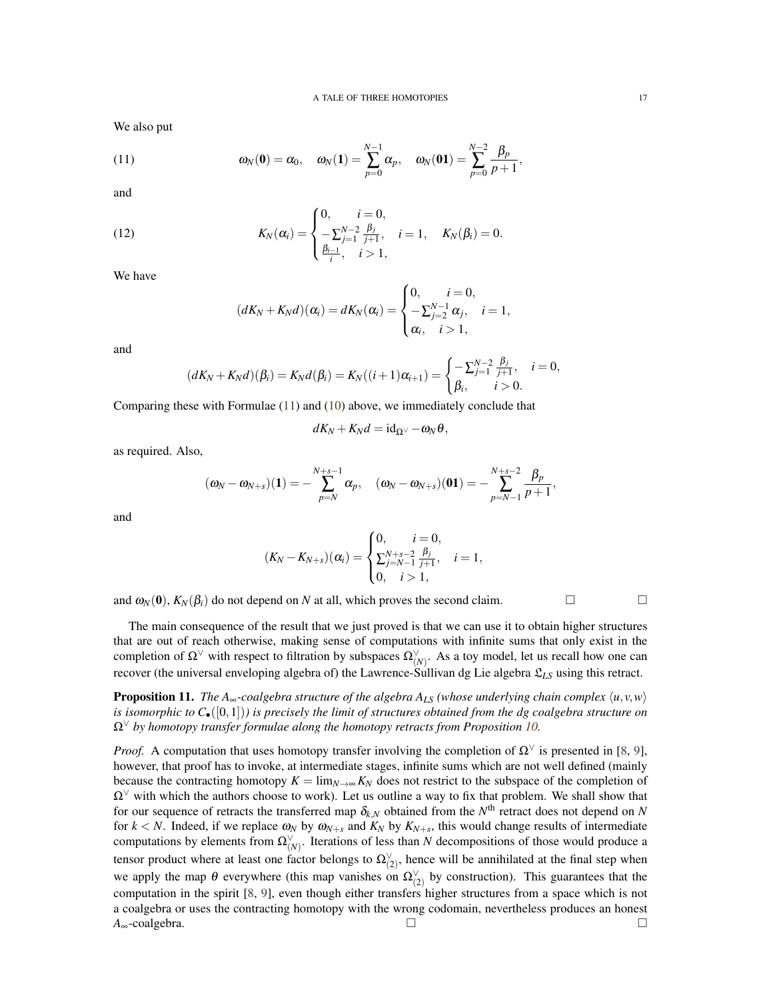We also put

<span id="page-16-0"></span>(11) 
$$
\omega_N(\mathbf{0}) = \alpha_0, \quad \omega_N(\mathbf{1}) = \sum_{p=0}^{N-1} \alpha_p, \quad \omega_N(\mathbf{0}\mathbf{1}) = \sum_{p=0}^{N-2} \frac{\beta_p}{p+1},
$$

and

(12) 
$$
K_N(\alpha_i) = \begin{cases} 0, & i = 0, \\ -\sum_{j=1}^{N-2} \frac{\beta_j}{j+1}, & i = 1, \\ \frac{\beta_{i-1}}{i}, & i > 1, \end{cases} K_N(\beta_i) = 0.
$$

We have

$$
(dK_N+K_Nd)(\alpha_i)=dK_N(\alpha_i)=\begin{cases}0, & i=0,\\ -\sum_{j=2}^{N-1}\alpha_j, & i=1,\\ \alpha_i, & i>1,\end{cases}
$$

and

$$
(dK_N+K_Nd)(\beta_i)=K_Nd(\beta_i)=K_N((i+1)\alpha_{i+1})=\begin{cases}-\sum_{j=1}^{N-2}\frac{\beta_j}{j+1}, & i=0,\\ \beta_i, & i>0.\end{cases}
$$

Comparing these with Formulae [\(11\)](#page-16-0) and [\(10\)](#page-15-0) above, we immediately conclude that

$$
dK_N+K_Nd=\mathrm{id}_{\Omega^\vee}-\omega_N\theta,
$$

as required. Also,

$$
(\omega_N - \omega_{N+s})(1) = -\sum_{p=N}^{N+s-1} \alpha_p, \quad (\omega_N - \omega_{N+s})(01) = -\sum_{p=N-1}^{N+s-2} \frac{\beta_p}{p+1},
$$

and

$$
(K_N - K_{N+s})(\alpha_i) = \begin{cases} 0, & i = 0, \\ \sum_{j=N-1}^{N+s-2} \frac{\beta_j}{j+1}, & i = 1, \\ 0, & i > 1, \end{cases}
$$

and  $\omega_N(0)$ ,  $K_N(\beta_i)$  do not depend on *N* at all, which proves the second claim.

The main consequence of the result that we just proved is that we can use it to obtain higher structures that are out of reach otherwise, making sense of computations with infinite sums that only exist in the completion of  $\Omega^{\vee}$  with respect to filtration by subspaces  $\Omega^{\vee}_{(N)}$ . As a toy model, let us recall how one can recover (the universal enveloping algebra of) the Lawrence-Sullivan dg Lie algebra L*LS* using this retract.

**Proposition 11.** The A<sub>∞</sub>-coalgebra structure of the algebra  $A_{LS}$  (whose underlying chain complex  $\langle u, v, w \rangle$ ) *is isomorphic to C*•([0,1])*) is precisely the limit of structures obtained from the dg coalgebra structure on* Ω<sup>∨</sup> *by homotopy transfer formulae along the homotopy retracts from Proposition [10.](#page-15-1)*

*Proof.* A computation that uses homotopy transfer involving the completion of  $\Omega^{\vee}$  is presented in [\[8,](#page-20-7) [9\]](#page-20-5), however, that proof has to invoke, at intermediate stages, infinite sums which are not well defined (mainly because the contracting homotopy  $K = \lim_{N \to \infty} K_N$  does not restrict to the subspace of the completion of  $\Omega^{\vee}$  with which the authors choose to work). Let us outline a way to fix that problem. We shall show that for our sequence of retracts the transferred map  $\delta_{k,N}$  obtained from the  $N^{\text{th}}$  retract does not depend on  $N$ for  $k < N$ . Indeed, if we replace  $\omega_N$  by  $\omega_{N+s}$  and  $K_N$  by  $K_{N+s}$ , this would change results of intermediate computations by elements from  $\Omega^{\vee}_{(N)}$ . Iterations of less than *N* decompositions of those would produce a tensor product where at least one factor belongs to  $\Omega_{(2)}^{\vee}$ , hence will be annihilated at the final step when we apply the map  $\theta$  everywhere (this map vanishes on  $\Omega_{(2)}^{\vee}$  by construction). This guarantees that the computation in the spirit [\[8,](#page-20-7) [9\]](#page-20-5), even though either transfers higher structures from a space which is not a coalgebra or uses the contracting homotopy with the wrong codomain, nevertheless produces an honest *A*∞-coalgebra.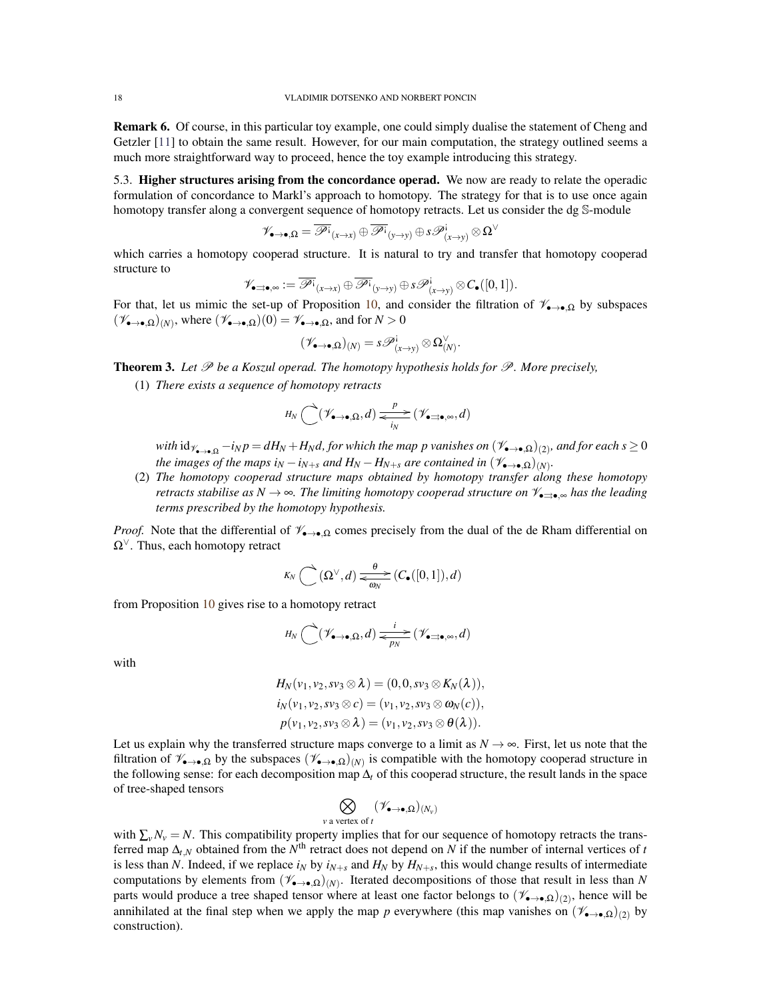Remark 6. Of course, in this particular toy example, one could simply dualise the statement of Cheng and Getzler [\[11\]](#page-20-8) to obtain the same result. However, for our main computation, the strategy outlined seems a much more straightforward way to proceed, hence the toy example introducing this strategy.

5.3. Higher structures arising from the concordance operad. We now are ready to relate the operadic formulation of concordance to Markl's approach to homotopy. The strategy for that is to use once again homotopy transfer along a convergent sequence of homotopy retracts. Let us consider the dg S-module

$$
\mathscr{V}_{\bullet\to\bullet,\Omega}=\overline{\mathscr{P}^{\textrm{!`}}}_{(x\to x)}\oplus\overline{\mathscr{P}^{\textrm{!`}}}_{(y\to y)}\oplus s\mathscr{P}^{\textrm{!`}}_{(x\to y)}\otimes\Omega^\vee
$$

which carries a homotopy cooperad structure. It is natural to try and transfer that homotopy cooperad structure to

$$
\mathscr{V}_{\bullet\text{-}\bullet,\infty}:=\overline{\mathscr{P}^{\mathbf{i}}}_{(x\to x)}\oplus\overline{\mathscr{P}^{\mathbf{i}}}_{(y\to y)}\oplus s\mathscr{P}^{\mathbf{i}}_{(x\to y)}\otimes C_\bullet([0,1]).
$$

For that, let us mimic the set-up of Proposition [10,](#page-15-1) and consider the filtration of  $\mathscr{V}_{\bullet\to\bullet,\Omega}$  by subspaces  $(\mathscr{V}_{\bullet\to\bullet,\Omega})_{(N)}$ , where  $(\mathscr{V}_{\bullet\to\bullet,\Omega})(0) = \mathscr{V}_{\bullet\to\bullet,\Omega}$ , and for  $N > 0$ 

$$
(\mathscr{V}_{\bullet\to\bullet,\Omega})_{(N)}=s\mathscr{P}^{\mathfrak{i}}_{(x\to y)}\otimes \Omega^{\vee}_{(N)}.
$$

<span id="page-17-0"></span>Theorem 3. *Let* P *be a Koszul operad. The homotopy hypothesis holds for* P*. More precisely,*

(1) *There exists a sequence of homotopy retracts*

$$
H_N\bigodot(\mathscr{V}_{\bullet\rightarrow\bullet,\Omega},d)=\frac{P}{N}\bigl(\mathscr{V}_{\bullet\rightarrow\bullet,\infty},d\bigr)
$$

 $with\ \mathrm{id}_{\mathscr{V}_{\bullet\to\bullet,\Omega}}-i_Np=dH_N+H_Nd,$  for which the map  $p$  vanishes on  $(\mathscr{V}_{\bullet\to\bullet,\Omega})_{(2)},$  and for each  $s\geq 0$ *the images of the maps i<sub>N</sub>* − *i<sub>N+s</sub> and*  $H_N$  −  $H_{N+s}$  *are contained in*  $(\mathscr{V}_{\bullet\to\bullet,\Omega})_{(N)}$ *.* 

(2) *The homotopy cooperad structure maps obtained by homotopy transfer along these homotopy retracts stabilise as N* → ∞*. The limiting homotopy cooperad structure on*  $V_{\bullet \Rightarrow \bullet}$  *\oushings has the leading terms prescribed by the homotopy hypothesis.*

*Proof.* Note that the differential of  $\mathcal{V}_{\rightarrow \bullet, \Omega}$  comes precisely from the dual of the de Rham differential on  $\Omega^{\vee}$ . Thus, each homotopy retract

$$
K_N\bigodot (\Omega^{\vee},d)\mathop{\longrightarrow}\limits_{\overline{\omega_N}} \mathop{\longrightarrow}\limits^{\theta} (C_{\bullet}([0,1]),d)
$$

from Proposition [10](#page-15-1) gives rise to a homotopy retract

$$
H_N\bigodot(\mathscr{V}_{\bullet\rightarrow\bullet,\Omega},d)=\frac{i}{p_N}\big(\mathscr{V}_{\bullet\rightarrow\bullet,\infty},d\big)
$$

with

$$
H_N(v_1, v_2, sv_3 \otimes \lambda) = (0, 0, sv_3 \otimes K_N(\lambda)),
$$
  
\n
$$
i_N(v_1, v_2, sv_3 \otimes c) = (v_1, v_2, sv_3 \otimes \omega_N(c)),
$$
  
\n
$$
p(v_1, v_2, sv_3 \otimes \lambda) = (v_1, v_2, sv_3 \otimes \theta(\lambda)).
$$

Let us explain why the transferred structure maps converge to a limit as  $N \to \infty$ . First, let us note that the filtration of  $\mathscr{V}_{\bullet\to\bullet,\Omega}$  by the subspaces  $(\mathscr{V}_{\bullet\to\bullet,\Omega})_{(N)}$  is compatible with the homotopy cooperad structure in the following sense: for each decomposition map ∆*<sup>t</sup>* of this cooperad structure, the result lands in the space of tree-shaped tensors

$$
\bigotimes_{v \text{ a vertex of } t} (\mathscr{V}_{\bullet \to \bullet, \Omega})_{(N_v)}
$$

with  $\sum_{v} N_v = N$ . This compatibility property implies that for our sequence of homotopy retracts the transferred map  $\Delta_{t,N}$  obtained from the  $N^{\text{th}}$  retract does not depend on  $N$  if the number of internal vertices of *t* is less than *N*. Indeed, if we replace  $i_N$  by  $i_{N+s}$  and  $H_N$  by  $H_{N+s}$ , this would change results of intermediate computations by elements from  $(\mathscr{V}_{\bullet\to\bullet,\Omega}(N))$ . Iterated decompositions of those that result in less than *N* parts would produce a tree shaped tensor where at least one factor belongs to  $(\mathscr{V}_{\bullet\to\bullet,\Omega})_{(2)}$ , hence will be annihilated at the final step when we apply the map *p* everywhere (this map vanishes on  $(\mathscr{V}_{\bullet\to\bullet,\Omega})_{(2)}$  by construction).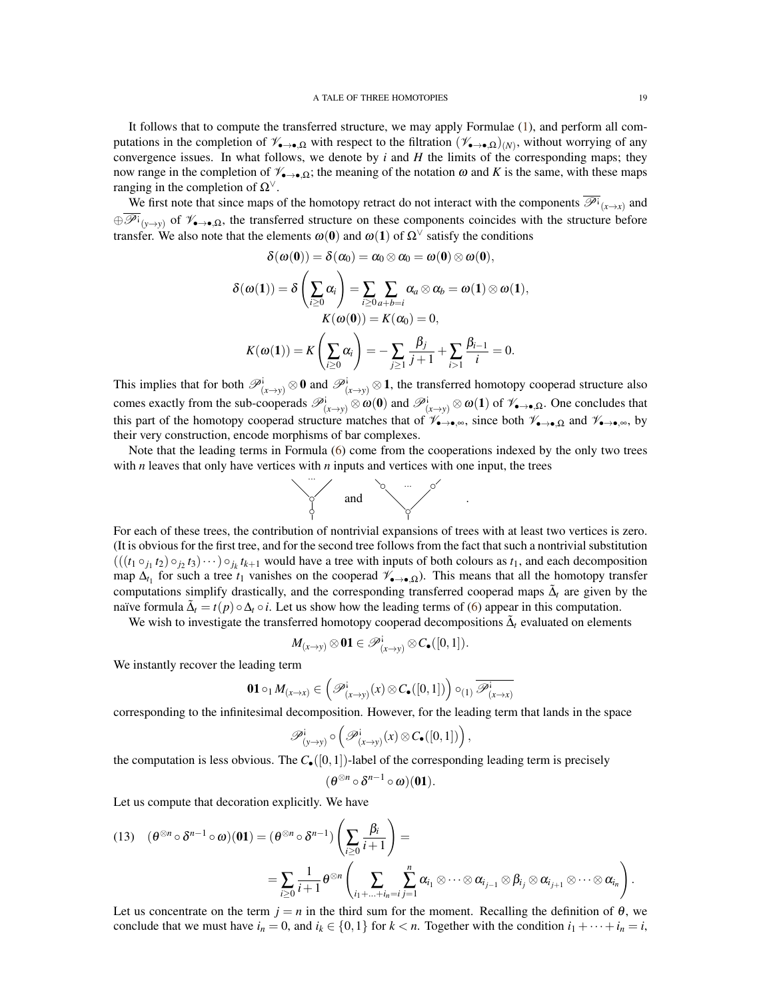It follows that to compute the transferred structure, we may apply Formulae [\(1\)](#page-5-1), and perform all computations in the completion of  $\mathscr{V}_{\bullet\to\bullet,\Omega}$  with respect to the filtration  $(\mathscr{V}_{\bullet\to\bullet,\Omega})_{(N)}$ , without worrying of any convergence issues. In what follows, we denote by *i* and *H* the limits of the corresponding maps; they now range in the completion of  $\mathscr{V}_{\bullet\to\bullet,\Omega}$ ; the meaning of the notation  $\omega$  and K is the same, with these maps ranging in the completion of  $\Omega^{\vee}$ .

We first note that since maps of the homotopy retract do not interact with the components  $\overline{\mathscr{P}}$ <sup>*i*</sup><sub> $(x\to x)$ </sub> and  $\bigoplus \overline{\mathscr{P}^i}_{(y\to y)}$  of  $\mathscr{V}_{\bullet\to\bullet,\Omega}$ , the transferred structure on these components coincides with the structure before transfer. We also note that the elements  $\omega(0)$  and  $\omega(1)$  of  $\Omega^{\vee}$  satisfy the conditions

$$
\delta(\omega(\mathbf{0})) = \delta(\alpha_0) = \alpha_0 \otimes \alpha_0 = \omega(\mathbf{0}) \otimes \omega(\mathbf{0}),
$$

$$
\delta(\omega(\mathbf{1})) = \delta\left(\sum_{i\geq 0} \alpha_i\right) = \sum_{i\geq 0} \sum_{a+b=i} \alpha_a \otimes \alpha_b = \omega(\mathbf{1}) \otimes \omega(\mathbf{1}),
$$
  

$$
K(\omega(\mathbf{0})) = K(\alpha_0) = 0,
$$
  

$$
K(\omega(\mathbf{1})) = K\left(\sum_{i\geq 0} \alpha_i\right) = -\sum_{j\geq 1} \frac{\beta_j}{j+1} + \sum_{i>1} \frac{\beta_{i-1}}{i} = 0.
$$

This implies that for both  $\mathscr{P}^i_{(x\to y)}\otimes 0$  and  $\mathscr{P}^i_{(x\to y)}\otimes 1$ , the transferred homotopy cooperad structure also comes exactly from the sub-cooperads  $\mathscr{P}^i_{(x\to y)} \otimes \omega(0)$  and  $\mathscr{P}^i_{(x\to y)} \otimes \omega(1)$  of  $\mathscr{V}_{\bullet\to \bullet,\Omega}$ . One concludes that this part of the homotopy cooperad structure matches that of  $\mathscr{V}_{\bullet\to\bullet,\infty}$ , since both  $\mathscr{V}_{\bullet\to\bullet,\Omega}$  and  $\mathscr{V}_{\bullet\to\bullet,\infty}$ , by their very construction, encode morphisms of bar complexes.

Note that the leading terms in Formula [\(6\)](#page-11-0) come from the cooperations indexed by the only two trees with *n* leaves that only have vertices with *n* inputs and vertices with one input, the trees



.

For each of these trees, the contribution of nontrivial expansions of trees with at least two vertices is zero. (It is obvious for the first tree, and for the second tree follows from the fact that such a nontrivial substitution  $(((t_1 \circ_{j_1} t_2) \circ_{j_2} t_3) \cdots) \circ_{j_k} t_{k+1}$  would have a tree with inputs of both colours as  $t_1$ , and each decomposition map  $\Delta_{t_1}$  for such a tree  $t_1$  vanishes on the cooperad  $\mathscr{V}_{\bullet\to\bullet,\Omega}$ ). This means that all the homotopy transfer computations simplify drastically, and the corresponding transferred cooperad maps  $\tilde{\Delta}_t$  are given by the naïve formula  $\tilde{\Delta}_t = t(p) \circ \Delta_t \circ i$ . Let us show how the leading terms of [\(6\)](#page-11-0) appear in this computation.

We wish to investigate the transferred homotopy cooperad decompositions  $\tilde{\Delta}_t$  evaluated on elements

$$
M_{(x\rightarrow y)}\otimes\mathbf{01}\in\mathscr{P}^{\mathbf{i}}_{(x\rightarrow y)}\otimes C_{\bullet}([0,1]).
$$

We instantly recover the leading term

$$
\mathbf{01}\circ_1 M_{(x\to x)}\in \left(\mathscr{P}_{(x\to y)}^{\mathbf{i}}(x)\otimes C_{\bullet}([0,1])\right)\circ_{(1)}\overline{\mathscr{P}_{(x\to x)}^{\mathbf{i}}}
$$

corresponding to the infinitesimal decomposition. However, for the leading term that lands in the space

$$
\mathscr{P}_{(y\rightarrow y)}^{\mathsf{i}}\circ\left(\mathscr{P}_{(x\rightarrow y)}^{\mathsf{i}}(x)\otimes \mathcal{C}_{\bullet}([0,1])\right),\,
$$

the computation is less obvious. The  $C_{\bullet}([0,1])$ -label of the corresponding leading term is precisely

$$
(\theta^{\otimes n} \circ \delta^{n-1} \circ \omega)(01).
$$

Let us compute that decoration explicitly. We have

<span id="page-18-0"></span>
$$
(13) \quad (\theta^{\otimes n} \circ \delta^{n-1} \circ \omega)(\mathbf{01}) = (\theta^{\otimes n} \circ \delta^{n-1}) \left( \sum_{i \geq 0} \frac{\beta_i}{i+1} \right) =
$$
  
= 
$$
\sum_{i \geq 0} \frac{1}{i+1} \theta^{\otimes n} \left( \sum_{i_1 + ... + i_n = i} \sum_{j=1}^n \alpha_{i_1} \otimes \cdots \otimes \alpha_{i_{j-1}} \otimes \beta_{i_j} \otimes \alpha_{i_{j+1}} \otimes \cdots \otimes \alpha_{i_n} \right).
$$

Let us concentrate on the term  $j = n$  in the third sum for the moment. Recalling the definition of  $\theta$ , we conclude that we must have  $i_n = 0$ , and  $i_k \in \{0, 1\}$  for  $k < n$ . Together with the condition  $i_1 + \cdots + i_n = i$ ,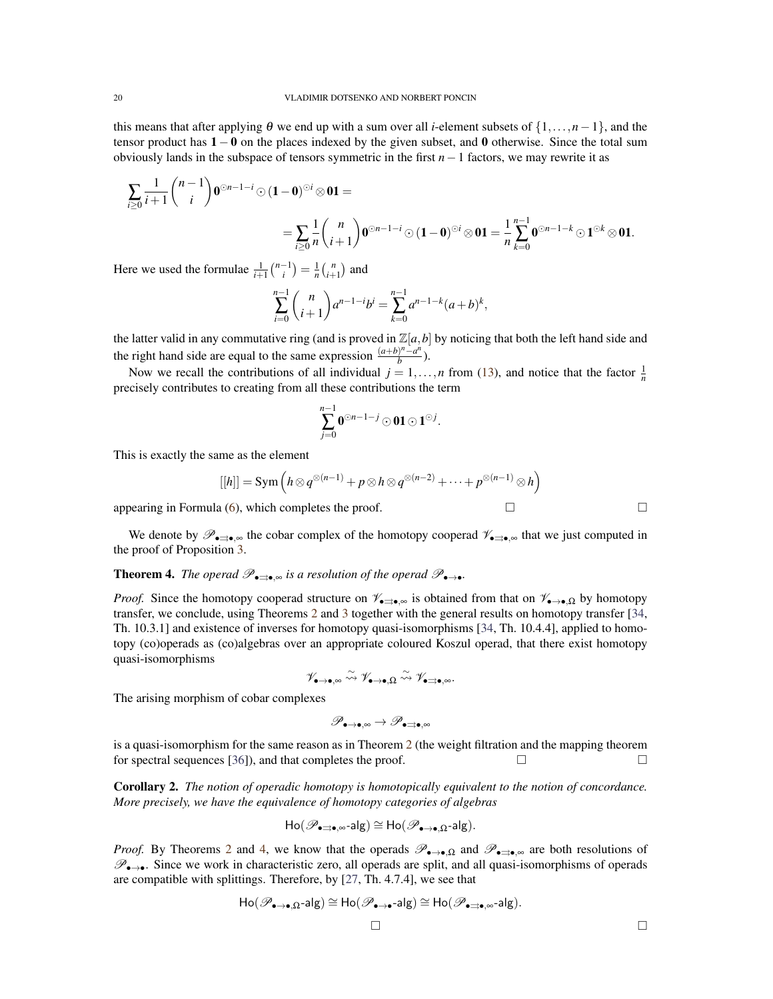this means that after applying  $\theta$  we end up with a sum over all *i*-element subsets of  $\{1,\ldots,n-1\}$ , and the tensor product has  $1 - 0$  on the places indexed by the given subset, and 0 otherwise. Since the total sum obviously lands in the subspace of tensors symmetric in the first *n*−1 factors, we may rewrite it as

$$
\sum_{i\geq 0} \frac{1}{i+1} \binom{n-1}{i} 0^{\odot n-1-i} \odot (1-0)^{\odot i} \otimes 0 \mathbf{1} =
$$
  
= 
$$
\sum_{i\geq 0} \frac{1}{n} \binom{n}{i+1} 0^{\odot n-1-i} \odot (1-0)^{\odot i} \otimes 0 \mathbf{1} = \frac{1}{n} \sum_{k=0}^{n-1} 0^{\odot n-1-k} \odot 1^{\odot k} \otimes 0 \mathbf{1}.
$$

Here we used the formulae  $\frac{1}{i+1} \binom{n-1}{i} = \frac{1}{n} \binom{n}{i+1}$  and

$$
\sum_{i=0}^{n-1} {n \choose i+1} a^{n-1-i} b^i = \sum_{k=0}^{n-1} a^{n-1-k} (a+b)^k,
$$

the latter valid in any commutative ring (and is proved in  $\mathbb{Z}[a,b]$  by noticing that both the left hand side and the right hand side are equal to the same expression  $\frac{(a+b)^n - a^n}{b}$  $\frac{f''-a''}{b}$ ).

Now we recall the contributions of all individual  $j = 1, \ldots, n$  from [\(13\)](#page-18-0), and notice that the factor  $\frac{1}{n}$ precisely contributes to creating from all these contributions the term

$$
\sum_{j=0}^{n-1} \textbf{0}^{\odot n-1-j}\hspace{-1mm}\odot\hspace{-1mm} \textbf{01}\hspace{-1mm}\odot\hspace{-1mm}\textbf{1}^{\odot j}.
$$

This is exactly the same as the element

$$
[[h]] = \operatorname{Sym} \left( h \otimes q^{\otimes (n-1)} + p \otimes h \otimes q^{\otimes (n-2)} + \cdots + p^{\otimes (n-1)} \otimes h \right)
$$

appearing in Formula [\(6\)](#page-11-0), which completes the proof.  $\square$ 

We denote by  $\mathscr{P}_{\bullet\Rightarrow\bullet,\infty}$  the cobar complex of the homotopy cooperad  $\mathscr{V}_{\bullet\Rightarrow\bullet,\infty}$  that we just computed in the proof of Proposition [3.](#page-17-0)

<span id="page-19-0"></span>**Theorem 4.** *The operad*  $\mathscr{P}_{\bullet\Rightarrow\bullet}$  *is a resolution of the operad*  $\mathscr{P}_{\bullet\to\bullet}$ *.* 

*Proof.* Since the homotopy cooperad structure on  $\mathscr{V}_{\bullet\Rightarrow\bullet,\infty}$  is obtained from that on  $\mathscr{V}_{\bullet\to\bullet,\Omega}$  by homotopy transfer, we conclude, using Theorems [2](#page-14-1) and [3](#page-17-0) together with the general results on homotopy transfer [\[34,](#page-21-11) Th. 10.3.1] and existence of inverses for homotopy quasi-isomorphisms [\[34,](#page-21-11) Th. 10.4.4], applied to homotopy (co)operads as (co)algebras over an appropriate coloured Koszul operad, that there exist homotopy quasi-isomorphisms

 $\mathscr{V}_{\bullet\to\bullet,\infty}\stackrel{\sim}{\leadsto}\mathscr{V}_{\bullet\to\bullet,\Omega}\stackrel{\sim}{\leadsto}\mathscr{V}_{\bullet\sqsupseteq\bullet,\infty}.$ 

The arising morphism of cobar complexes

$$
\mathscr{P}_{\bullet\rightarrow\bullet,\infty}\rightarrow\mathscr{P}_{\bullet\rightrightarrows\bullet,\infty}
$$

is a quasi-isomorphism for the same reason as in Theorem [2](#page-14-1) (the weight filtration and the mapping theorem for spectral sequences [\[36\]](#page-21-24)), and that completes the proof.  $\Box$ 

Corollary 2. *The notion of operadic homotopy is homotopically equivalent to the notion of concordance. More precisely, we have the equivalence of homotopy categories of algebras*

$$
\mathsf{Ho}(\mathscr{P}_{\bullet \rightrightarrows \bullet, \infty} \text{-alg}) \cong \mathsf{Ho}(\mathscr{P}_{\bullet \to \bullet, \Omega} \text{-alg}).
$$

*Proof.* By Theorems [2](#page-14-1) and [4,](#page-19-0) we know that the operads  $\mathscr{P}_{\bullet\to\bullet,\Omega}$  and  $\mathscr{P}_{\bullet\to\bullet,\infty}$  are both resolutions of  $\mathscr{P}_{\bullet\rightarrow\bullet}$ . Since we work in characteristic zero, all operads are split, and all quasi-isomorphisms of operads are compatible with splittings. Therefore, by [\[27,](#page-21-25) Th. 4.7.4], we see that

$$
\mathsf{Ho}(\mathscr{P}_{\bullet\rightarrow\bullet,\Omega}\text{-}\mathsf{alg})\cong\mathsf{Ho}(\mathscr{P}_{\bullet\rightarrow\bullet}\text{-}\mathsf{alg})\cong\mathsf{Ho}(\mathscr{P}_{\bullet\right\rightrightarrows\bullet,\infty}\text{-}\mathsf{alg}).
$$

 $\Box$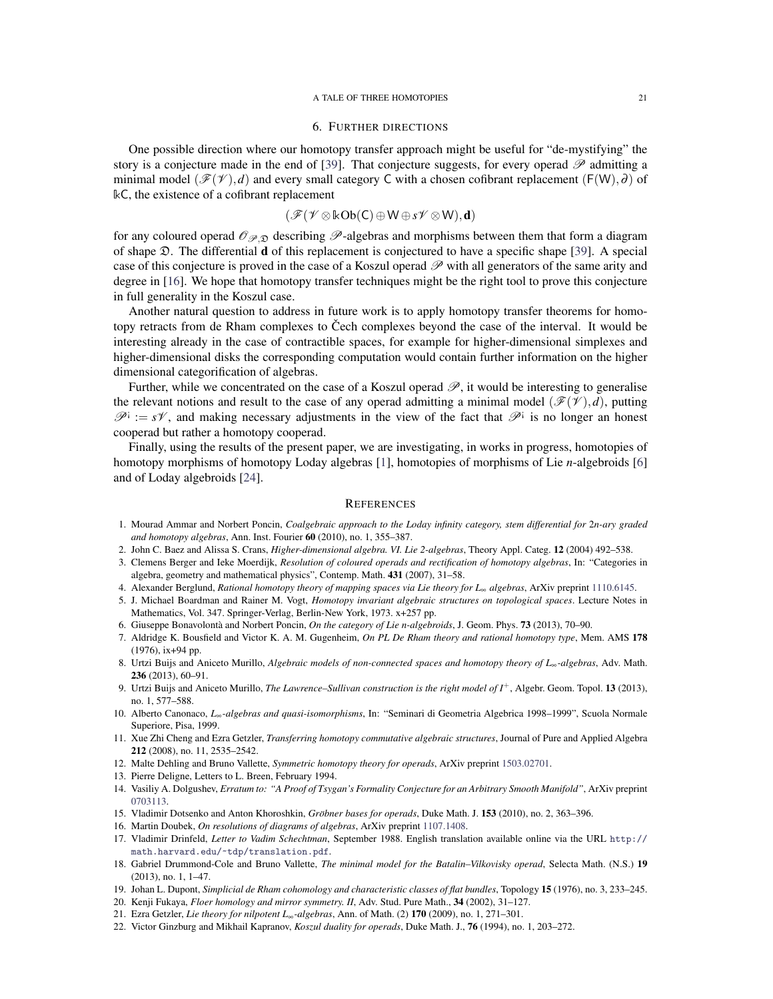#### 6. FURTHER DIRECTIONS

<span id="page-20-10"></span>One possible direction where our homotopy transfer approach might be useful for "de-mystifying" the story is a conjecture made in the end of [\[39\]](#page-21-8). That conjecture suggests, for every operad  $\mathscr P$  admitting a minimal model ( $\mathscr{F}(\mathscr{V}),d$ ) and every small category C with a chosen cofibrant replacement (F(W), $\partial$ ) of kC, the existence of a cofibrant replacement

$$
(\mathscr{F}(\mathscr{V}\otimes \Bbbk\mathrm{Ob}(\mathsf{C})\oplus \mathsf{W}\oplus s\mathscr{V}\otimes \mathsf{W}),\textbf{d})
$$

for any coloured operad  $\mathcal{O}_{\mathcal{P},\mathfrak{D}}$  describing  $\mathcal{P}$ -algebras and morphisms between them that form a diagram of shape  $\mathfrak{D}$ . The differential **d** of this replacement is conjectured to have a specific shape [\[39\]](#page-21-8). A special case of this conjecture is proved in the case of a Koszul operad  $\mathscr P$  with all generators of the same arity and degree in [\[16\]](#page-20-12). We hope that homotopy transfer techniques might be the right tool to prove this conjecture in full generality in the Koszul case.

Another natural question to address in future work is to apply homotopy transfer theorems for homotopy retracts from de Rham complexes to Cech complexes beyond the case of the interval. It would be interesting already in the case of contractible spaces, for example for higher-dimensional simplexes and higher-dimensional disks the corresponding computation would contain further information on the higher dimensional categorification of algebras.

Further, while we concentrated on the case of a Koszul operad  $\mathscr{P}$ , it would be interesting to generalise the relevant notions and result to the case of any operad admitting a minimal model ( $\mathscr{F}(\mathscr{V}),d$ ), putting  $\mathscr{P}^i := s\mathscr{V}$ , and making necessary adjustments in the view of the fact that  $\mathscr{P}^i$  is no longer an honest cooperad but rather a homotopy cooperad.

Finally, using the results of the present paper, we are investigating, in works in progress, homotopies of homotopy morphisms of homotopy Loday algebras [\[1\]](#page-20-21), homotopies of morphisms of Lie *n*-algebroids [\[6\]](#page-20-22) and of Loday algebroids [\[24\]](#page-21-26).

#### **REFERENCES**

- <span id="page-20-21"></span>1. Mourad Ammar and Norbert Poncin, *Coalgebraic approach to the Loday infinity category, stem differential for* 2*n-ary graded and homotopy algebras*, Ann. Inst. Fourier 60 (2010), no. 1, 355–387.
- <span id="page-20-0"></span>2. John C. Baez and Alissa S. Crans, *Higher-dimensional algebra. VI. Lie 2-algebras*, Theory Appl. Categ. 12 (2004) 492–538.
- <span id="page-20-13"></span>3. Clemens Berger and Ieke Moerdijk, *Resolution of coloured operads and rectification of homotopy algebras*, In: "Categories in algebra, geometry and mathematical physics", Contemp. Math. 431 (2007), 31–58.
- <span id="page-20-17"></span>4. Alexander Berglund, *Rational homotopy theory of mapping spaces via Lie theory for L*<sup>∞</sup> *algebras*, ArXiv preprint [1110.6145.](http://arxiv.org/abs/1110.6145)
- <span id="page-20-6"></span>5. J. Michael Boardman and Rainer M. Vogt, *Homotopy invariant algebraic structures on topological spaces*. Lecture Notes in Mathematics, Vol. 347. Springer-Verlag, Berlin-New York, 1973. x+257 pp.
- <span id="page-20-22"></span>6. Giuseppe Bonavolonta and Norbert Poncin, ` *On the category of Lie n-algebroids*, J. Geom. Phys. 73 (2013), 70–90.
- <span id="page-20-1"></span>7. Aldridge K. Bousfield and Victor K. A. M. Gugenheim, *On PL De Rham theory and rational homotopy type*, Mem. AMS 178 (1976), ix+94 pp.
- <span id="page-20-7"></span>8. Urtzi Buijs and Aniceto Murillo, *Algebraic models of non-connected spaces and homotopy theory of L*∞*-algebras*, Adv. Math. 236 (2013), 60–91.
- <span id="page-20-5"></span>9. Urtzi Buijs and Aniceto Murillo, *The Lawrence–Sullivan construction is the right model of I*+, Algebr. Geom. Topol. 13 (2013), no. 1, 577–588.
- <span id="page-20-11"></span>10. Alberto Canonaco, *L*∞*-algebras and quasi-isomorphisms*, In: "Seminari di Geometria Algebrica 1998–1999", Scuola Normale Superiore, Pisa, 1999.
- <span id="page-20-8"></span>11. Xue Zhi Cheng and Ezra Getzler, *Transferring homotopy commutative algebraic structures*, Journal of Pure and Applied Algebra 212 (2008), no. 11, 2535–2542.
- <span id="page-20-14"></span>12. Malte Dehling and Bruno Vallette, *Symmetric homotopy theory for operads*, ArXiv preprint [1503.02701.](http://arxiv.org/abs/1503.02701)
- <span id="page-20-2"></span>13. Pierre Deligne, Letters to L. Breen, February 1994.
- <span id="page-20-4"></span>14. Vasiliy A. Dolgushev, *Erratum to: "A Proof of Tsygan's Formality Conjecture for an Arbitrary Smooth Manifold"*, ArXiv preprint [0703113.](http://arxiv.org/abs/math/0703113)
- <span id="page-20-16"></span>15. Vladimir Dotsenko and Anton Khoroshkin, *Gröbner bases for operads*, Duke Math. J. 153 (2010), no. 2, 363–396.
- <span id="page-20-12"></span>16. Martin Doubek, *On resolutions of diagrams of algebras*, ArXiv preprint [1107.1408.](http://arxiv.org/abs/1107.1408)
- <span id="page-20-18"></span>17. Vladimir Drinfeld, *Letter to Vadim Schechtman*, September 1988. English translation available online via the URL [http://](http://math.harvard.edu/~tdp/translation.pdf) [math.harvard.edu/~tdp/translation.pdf](http://math.harvard.edu/~tdp/translation.pdf).
- <span id="page-20-9"></span>18. Gabriel Drummond-Cole and Bruno Vallette, *The minimal model for the Batalin–Vilkovisky operad*, Selecta Math. (N.S.) 19 (2013), no. 1, 1–47.
- <span id="page-20-19"></span>19. Johan L. Dupont, *Simplicial de Rham cohomology and characteristic classes of flat bundles*, Topology 15 (1976), no. 3, 233–245.
- <span id="page-20-20"></span>20. Kenji Fukaya, *Floer homology and mirror symmetry. II*, Adv. Stud. Pure Math., 34 (2002), 31–127.
- <span id="page-20-3"></span>21. Ezra Getzler, *Lie theory for nilpotent L*∞*-algebras*, Ann. of Math. (2) 170 (2009), no. 1, 271–301.
- <span id="page-20-15"></span>22. Victor Ginzburg and Mikhail Kapranov, *Koszul duality for operads*, Duke Math. J., 76 (1994), no. 1, 203–272.